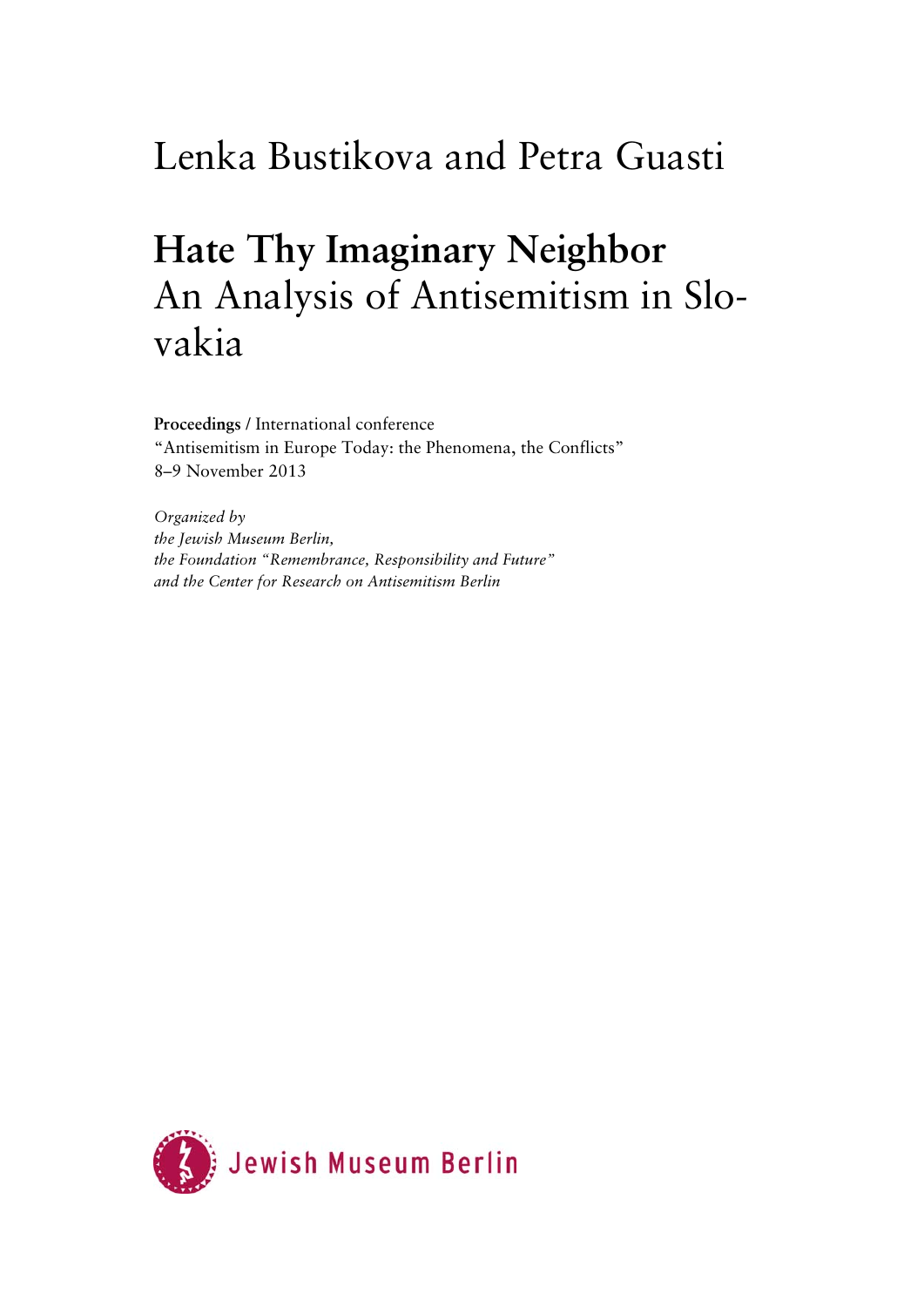# Lenka Bustikova and Petra Guasti

# **Hate Thy Imaginary Neighbor**  An Analysis of Antisemitism in Slovakia

**Proceedings** / International conference "Antisemitism in Europe Today: the Phenomena, the Conflicts" 8–9 November 2013

*Organized by the Jewish Museum Berlin, the Foundation "Remembrance, Responsibility and Future" and the Center for Research on Antisemitism Berlin* 

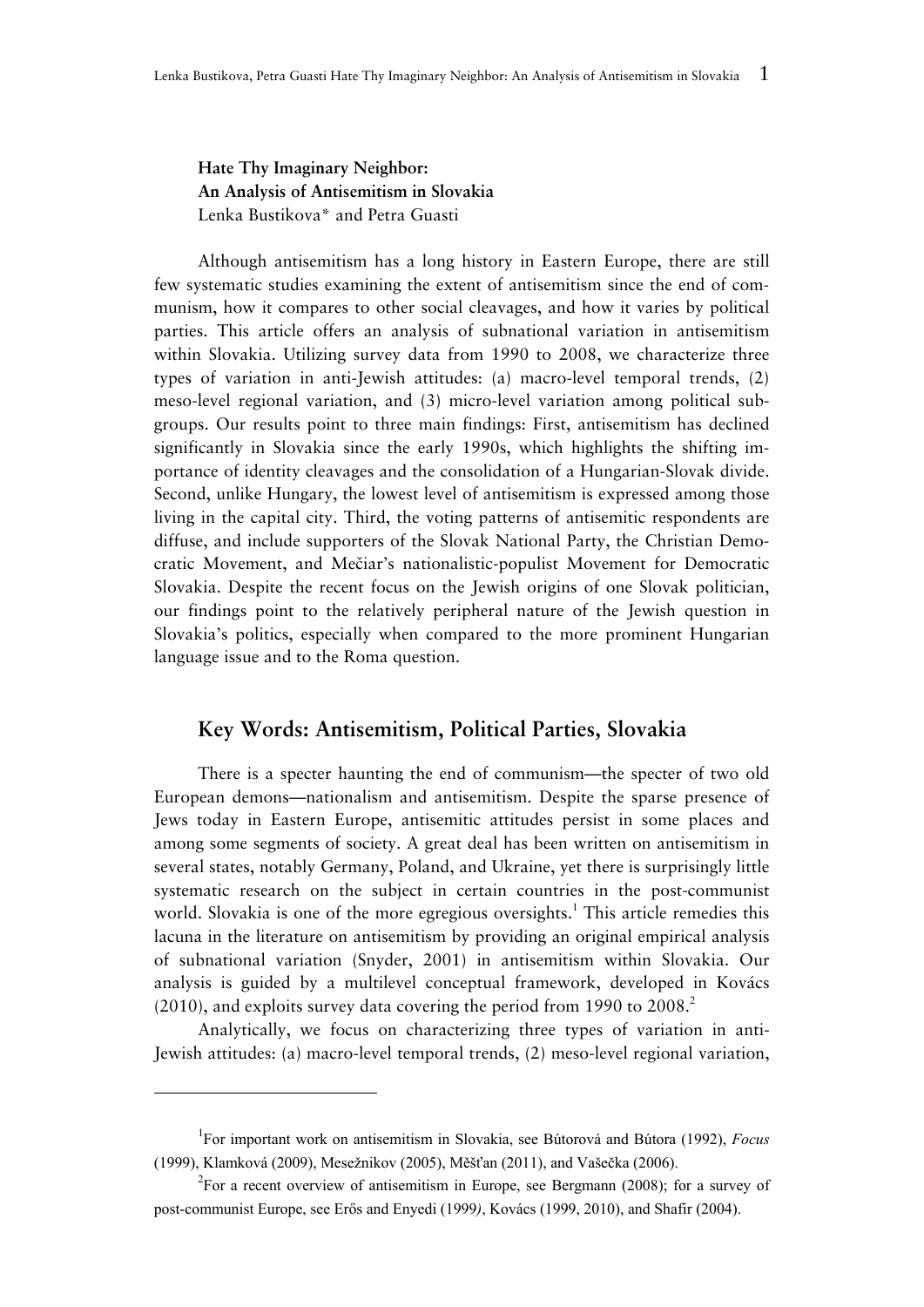**Hate Thy Imaginary Neighbor: An Analysis of Antisemitism in Slovakia**  Lenka Bustikova\* and Petra Guasti

Although antisemitism has a long history in Eastern Europe, there are still few systematic studies examining the extent of antisemitism since the end of communism, how it compares to other social cleavages, and how it varies by political parties. This article offers an analysis of subnational variation in antisemitism within Slovakia. Utilizing survey data from 1990 to 2008, we characterize three types of variation in anti-Jewish attitudes: (a) macro-level temporal trends, (2) meso-level regional variation, and (3) micro-level variation among political subgroups. Our results point to three main findings: First, antisemitism has declined significantly in Slovakia since the early 1990s, which highlights the shifting importance of identity cleavages and the consolidation of a Hungarian-Slovak divide. Second, unlike Hungary, the lowest level of antisemitism is expressed among those living in the capital city. Third, the voting patterns of antisemitic respondents are diffuse, and include supporters of the Slovak National Party, the Christian Democratic Movement, and Mečiar's nationalistic-populist Movement for Democratic Slovakia. Despite the recent focus on the Jewish origins of one Slovak politician, our findings point to the relatively peripheral nature of the Jewish question in Slovakia's politics, especially when compared to the more prominent Hungarian language issue and to the Roma question.

### **Key Words: Antisemitism, Political Parties, Slovakia**

There is a specter haunting the end of communism—the specter of two old European demons—nationalism and antisemitism. Despite the sparse presence of Jews today in Eastern Europe, antisemitic attitudes persist in some places and among some segments of society. A great deal has been written on antisemitism in several states, notably Germany, Poland, and Ukraine, yet there is surprisingly little systematic research on the subject in certain countries in the post-communist world. Slovakia is one of the more egregious oversights.<sup>1</sup> This article remedies this lacuna in the literature on antisemitism by providing an original empirical analysis of subnational variation (Snyder, 2001) in antisemitism within Slovakia. Our analysis is guided by a multilevel conceptual framework, developed in Kovács  $(2010)$ , and exploits survey data covering the period from 1990 to 2008.<sup>2</sup>

Analytically, we focus on characterizing three types of variation in anti-Jewish attitudes: (a) macro-level temporal trends, (2) meso-level regional variation,

<sup>1</sup> For important work on antisemitism in Slovakia, see Bútorová and Bútora (1992), *Focus* (1999), Klamková (2009), Mesežnikov (2005), Měšťan (2011), and Vašečka (2006).

<sup>&</sup>lt;sup>2</sup>For a recent overview of antisemitism in Europe, see Bergmann (2008); for a survey of post-communist Europe, see Erős and Enyedi (1999*)*, Kovács (1999, 2010), and Shafir (2004).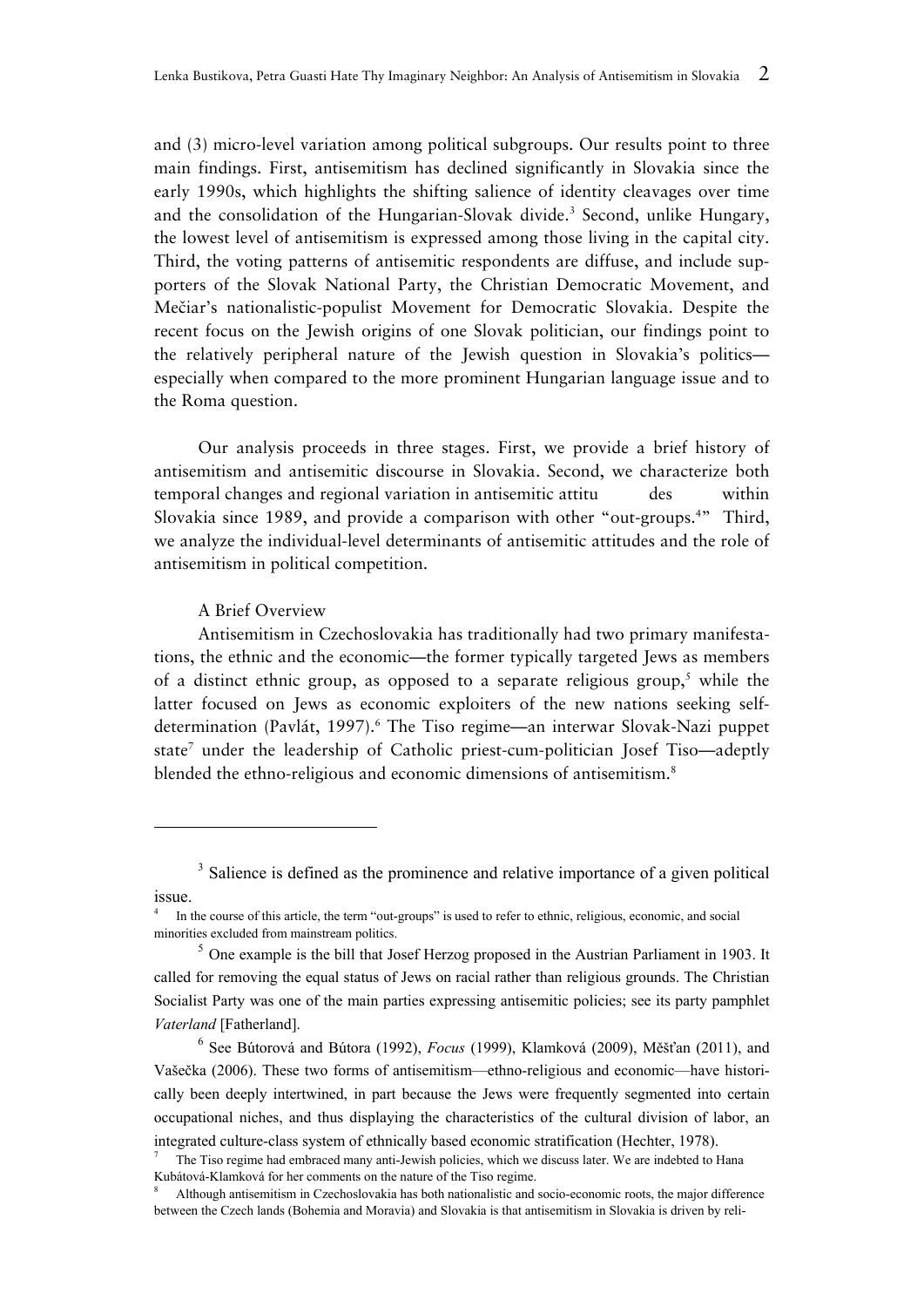and (3) micro-level variation among political subgroups. Our results point to three main findings. First, antisemitism has declined significantly in Slovakia since the early 1990s, which highlights the shifting salience of identity cleavages over time and the consolidation of the Hungarian-Slovak divide.<sup>3</sup> Second, unlike Hungary, the lowest level of antisemitism is expressed among those living in the capital city. Third, the voting patterns of antisemitic respondents are diffuse, and include supporters of the Slovak National Party, the Christian Democratic Movement, and Mečiar's nationalistic-populist Movement for Democratic Slovakia. Despite the recent focus on the Jewish origins of one Slovak politician, our findings point to the relatively peripheral nature of the Jewish question in Slovakia's politics especially when compared to the more prominent Hungarian language issue and to the Roma question.

Our analysis proceeds in three stages. First, we provide a brief history of antisemitism and antisemitic discourse in Slovakia. Second, we characterize both temporal changes and regional variation in antisemitic attitu des within Slovakia since 1989, and provide a comparison with other "out-groups.<sup>4</sup>" Third, we analyze the individual-level determinants of antisemitic attitudes and the role of antisemitism in political competition.

#### A Brief Overview

Antisemitism in Czechoslovakia has traditionally had two primary manifestations, the ethnic and the economic—the former typically targeted Jews as members of a distinct ethnic group, as opposed to a separate religious group,<sup>5</sup> while the latter focused on Jews as economic exploiters of the new nations seeking selfdetermination (Pavlát, 1997).<sup>6</sup> The Tiso regime—an interwar Slovak-Nazi puppet state<sup>7</sup> under the leadership of Catholic priest-cum-politician Josef Tiso—adeptly blended the ethno-religious and economic dimensions of antisemitism.<sup>8</sup>

6 See Bútorová and Bútora (1992), *Focus* (1999), Klamková (2009), Měšťan (2011), and Vašečka (2006). These two forms of antisemitism—ethno-religious and economic—have historically been deeply intertwined, in part because the Jews were frequently segmented into certain occupational niches, and thus displaying the characteristics of the cultural division of labor, an integrated culture-class system of ethnically based economic stratification (Hechter, 1978).

<sup>&</sup>lt;sup>3</sup> Salience is defined as the prominence and relative importance of a given political issue.

<sup>4</sup> In the course of this article, the term "out-groups" is used to refer to ethnic, religious, economic, and social minorities excluded from mainstream politics.

 $<sup>5</sup>$  One example is the bill that Josef Herzog proposed in the Austrian Parliament in 1903. It</sup> called for removing the equal status of Jews on racial rather than religious grounds. The Christian Socialist Party was one of the main parties expressing antisemitic policies; see its party pamphlet *Vaterland* [Fatherland].

<sup>7</sup> The Tiso regime had embraced many anti-Jewish policies, which we discuss later. We are indebted to Hana Kubátová-Klamková for her comments on the nature of the Tiso regime.

<sup>8</sup> Although antisemitism in Czechoslovakia has both nationalistic and socio-economic roots, the major difference between the Czech lands (Bohemia and Moravia) and Slovakia is that antisemitism in Slovakia is driven by reli-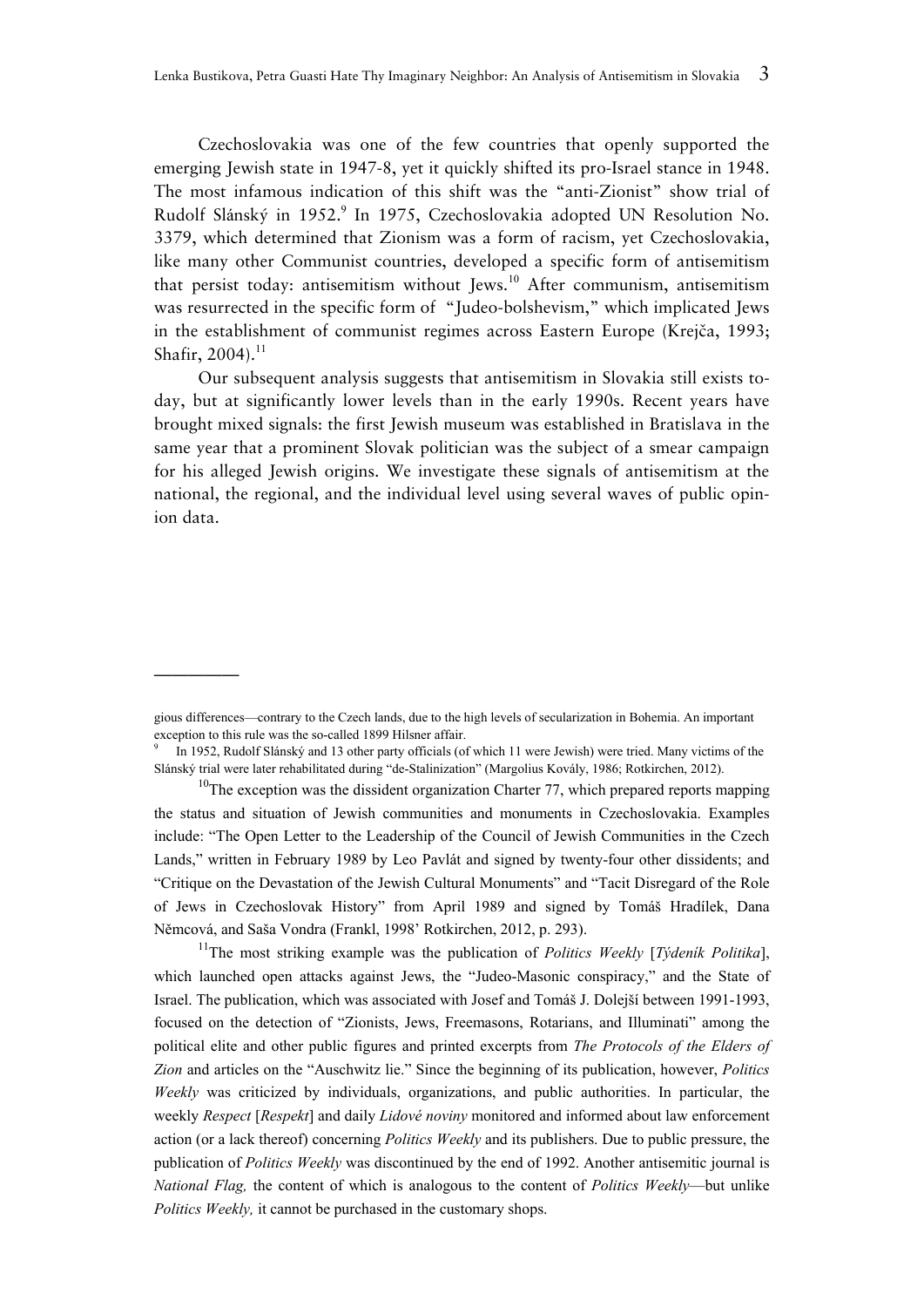Czechoslovakia was one of the few countries that openly supported the emerging Jewish state in 1947-8, yet it quickly shifted its pro-Israel stance in 1948. The most infamous indication of this shift was the "anti-Zionist" show trial of Rudolf Slánský in 1952.<sup>9</sup> In 1975, Czechoslovakia adopted UN Resolution No. 3379, which determined that Zionism was a form of racism, yet Czechoslovakia, like many other Communist countries, developed a specific form of antisemitism that persist today: antisemitism without Jews.<sup>10</sup> After communism, antisemitism was resurrected in the specific form of "Judeo-bolshevism," which implicated Jews in the establishment of communist regimes across Eastern Europe (Krejča, 1993; Shafir, 2004).<sup>11</sup>

Our subsequent analysis suggests that antisemitism in Slovakia still exists today, but at significantly lower levels than in the early 1990s. Recent years have brought mixed signals: the first Jewish museum was established in Bratislava in the same year that a prominent Slovak politician was the subject of a smear campaign for his alleged Jewish origins. We investigate these signals of antisemitism at the national, the regional, and the individual level using several waves of public opinion data.

—————

11The most striking example was the publication of *Politics Weekly* [*Týdeník Politika*], which launched open attacks against Jews, the "Judeo-Masonic conspiracy," and the State of Israel. The publication, which was associated with Josef and Tomáš J. Dolejší between 1991-1993, focused on the detection of "Zionists, Jews, Freemasons, Rotarians, and Illuminati" among the political elite and other public figures and printed excerpts from *The Protocols of the Elders of Zion* and articles on the "Auschwitz lie." Since the beginning of its publication, however, *Politics Weekly* was criticized by individuals, organizations, and public authorities. In particular, the weekly *Respect* [*Respekt*] and daily *Lidové noviny* monitored and informed about law enforcement action (or a lack thereof) concerning *Politics Weekly* and its publishers. Due to public pressure, the publication of *Politics Weekly* was discontinued by the end of 1992. Another antisemitic journal is *National Flag,* the content of which is analogous to the content of *Politics Weekly*—but unlike *Politics Weekly,* it cannot be purchased in the customary shops.

gious differences—contrary to the Czech lands, due to the high levels of secularization in Bohemia. An important exception to this rule was the so-called 1899 Hilsner affair.

<sup>9</sup> In 1952, Rudolf Slánský and 13 other party officials (of which 11 were Jewish) were tried. Many victims of the Slánský trial were later rehabilitated during "de-Stalinization" (Margolius Kovály, 1986; Rotkirchen, 2012).

 $10$ The exception was the dissident organization Charter 77, which prepared reports mapping the status and situation of Jewish communities and monuments in Czechoslovakia. Examples include: "The Open Letter to the Leadership of the Council of Jewish Communities in the Czech Lands," written in February 1989 by Leo Pavlát and signed by twenty-four other dissidents; and "Critique on the Devastation of the Jewish Cultural Monuments" and "Tacit Disregard of the Role of Jews in Czechoslovak History" from April 1989 and signed by Tomáš Hradílek, Dana Němcová, and Saša Vondra (Frankl, 1998' Rotkirchen, 2012, p. 293).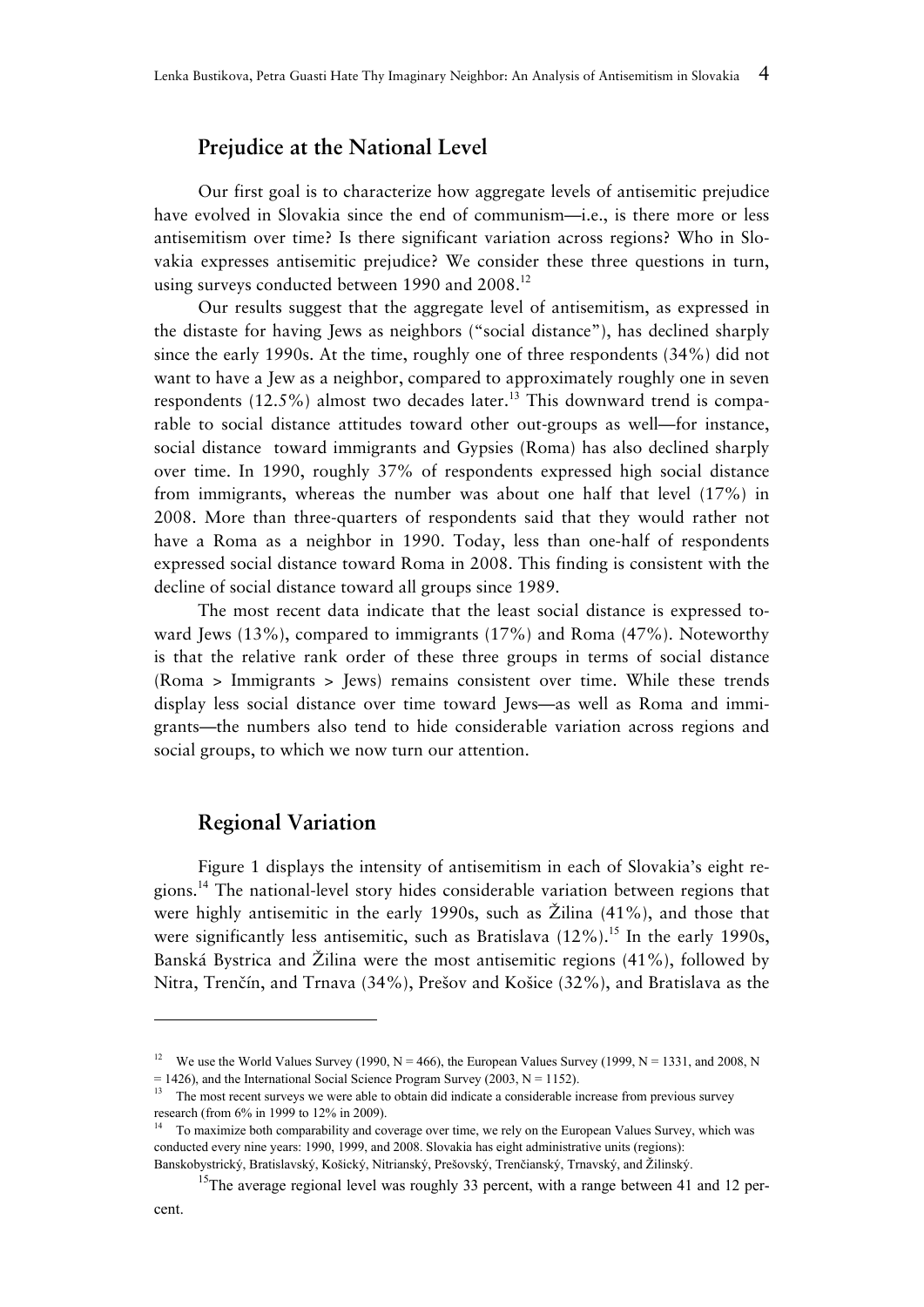## **Prejudice at the National Level**

Our first goal is to characterize how aggregate levels of antisemitic prejudice have evolved in Slovakia since the end of communism—i.e., is there more or less antisemitism over time? Is there significant variation across regions? Who in Slovakia expresses antisemitic prejudice? We consider these three questions in turn, using surveys conducted between 1990 and 2008.<sup>12</sup>

Our results suggest that the aggregate level of antisemitism, as expressed in the distaste for having Jews as neighbors ("social distance"), has declined sharply since the early 1990s. At the time, roughly one of three respondents (34%) did not want to have a Jew as a neighbor, compared to approximately roughly one in seven respondents  $(12.5\%)$  almost two decades later.<sup>13</sup> This downward trend is comparable to social distance attitudes toward other out-groups as well—for instance, social distance toward immigrants and Gypsies (Roma) has also declined sharply over time. In 1990, roughly 37% of respondents expressed high social distance from immigrants, whereas the number was about one half that level (17%) in 2008. More than three-quarters of respondents said that they would rather not have a Roma as a neighbor in 1990. Today, less than one-half of respondents expressed social distance toward Roma in 2008. This finding is consistent with the decline of social distance toward all groups since 1989.

The most recent data indicate that the least social distance is expressed toward Jews (13%), compared to immigrants (17%) and Roma (47%). Noteworthy is that the relative rank order of these three groups in terms of social distance (Roma > Immigrants > Jews) remains consistent over time. While these trends display less social distance over time toward Jews—as well as Roma and immigrants—the numbers also tend to hide considerable variation across regions and social groups, to which we now turn our attention.

# **Regional Variation**

Figure 1 displays the intensity of antisemitism in each of Slovakia's eight regions.<sup>14</sup> The national-level story hides considerable variation between regions that were highly antisemitic in the early 1990s, such as Žilina (41%), and those that were significantly less antisemitic, such as Bratislava  $(12\%)$ .<sup>15</sup> In the early 1990s, Banská Bystrica and Žilina were the most antisemitic regions (41%), followed by Nitra, Trenčín, and Trnava (34%), Prešov and Košice (32%), and Bratislava as the

-

<sup>&</sup>lt;sup>12</sup> We use the World Values Survey (1990, N = 466), the European Values Survey (1999, N = 1331, and 2008, N  $= 1426$ ), and the International Social Science Program Survey (2003, N = 1152).

<sup>&</sup>lt;sup>13</sup> The most recent surveys we were able to obtain did indicate a considerable increase from previous survey research (from 6% in 1999 to 12% in 2009).

<sup>&</sup>lt;sup>14</sup> To maximize both comparability and coverage over time, we rely on the European Values Survey, which was conducted every nine years: 1990, 1999, and 2008. Slovakia has eight administrative units (regions): Banskobystrický, Bratislavský, Košický, Nitrianský, Prešovský, Trenčianský, Trnavský, and Žilinský.

<sup>&</sup>lt;sup>15</sup>The average regional level was roughly 33 percent, with a range between 41 and 12 per-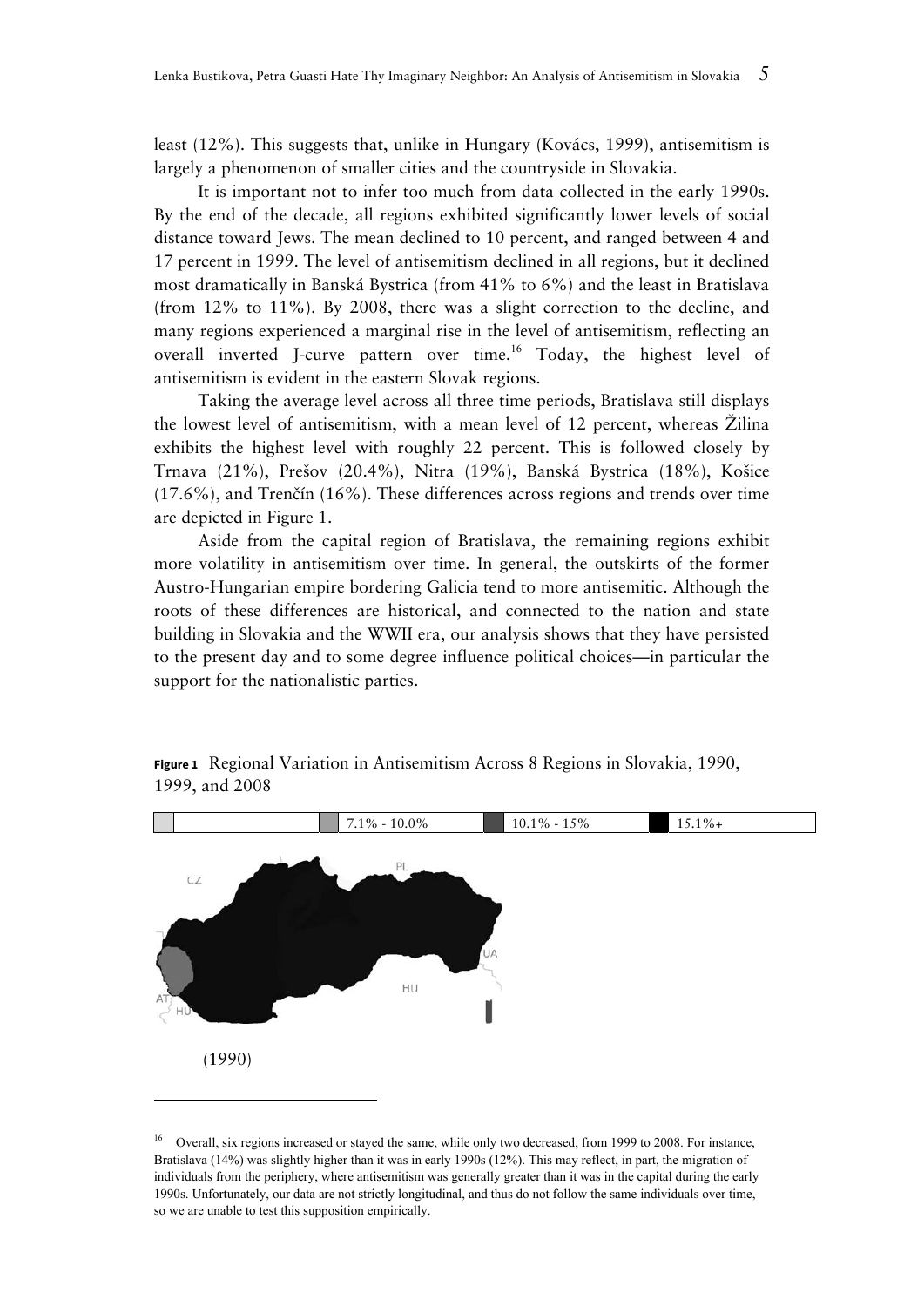least (12%). This suggests that, unlike in Hungary (Kovács, 1999), antisemitism is largely a phenomenon of smaller cities and the countryside in Slovakia.

It is important not to infer too much from data collected in the early 1990s. By the end of the decade, all regions exhibited significantly lower levels of social distance toward Jews. The mean declined to 10 percent, and ranged between 4 and 17 percent in 1999. The level of antisemitism declined in all regions, but it declined most dramatically in Banská Bystrica (from 41% to 6%) and the least in Bratislava (from 12% to 11%). By 2008, there was a slight correction to the decline, and many regions experienced a marginal rise in the level of antisemitism, reflecting an overall inverted J-curve pattern over time.<sup>16</sup> Today, the highest level of antisemitism is evident in the eastern Slovak regions.

Taking the average level across all three time periods, Bratislava still displays the lowest level of antisemitism, with a mean level of 12 percent, whereas Žilina exhibits the highest level with roughly 22 percent. This is followed closely by Trnava (21%), Prešov (20.4%), Nitra (19%), Banská Bystrica (18%), Košice (17.6%), and Trenčín (16%). These differences across regions and trends over time are depicted in Figure 1.

Aside from the capital region of Bratislava, the remaining regions exhibit more volatility in antisemitism over time. In general, the outskirts of the former Austro-Hungarian empire bordering Galicia tend to more antisemitic. Although the roots of these differences are historical, and connected to the nation and state building in Slovakia and the WWII era, our analysis shows that they have persisted to the present day and to some degree influence political choices—in particular the support for the nationalistic parties.



**Figure 1**Regional Variation in Antisemitism Across 8 Regions in Slovakia, 1990, 1999, and 2008

Overall, six regions increased or stayed the same, while only two decreased, from 1999 to 2008. For instance, Bratislava (14%) was slightly higher than it was in early 1990s (12%). This may reflect, in part, the migration of individuals from the periphery, where antisemitism was generally greater than it was in the capital during the early 1990s. Unfortunately, our data are not strictly longitudinal, and thus do not follow the same individuals over time, so we are unable to test this supposition empirically.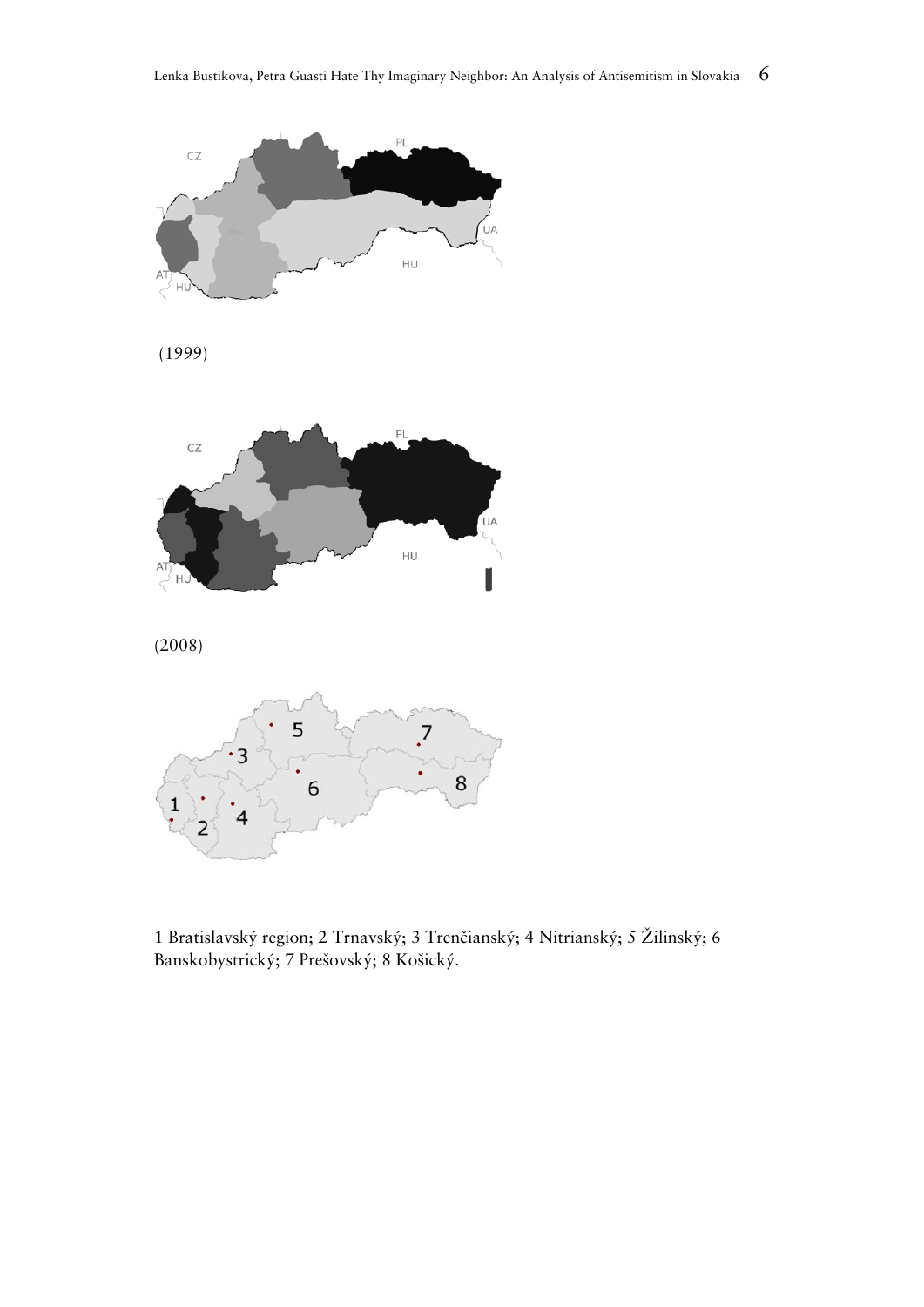

(1999)



(2008)



1 Bratislavský region; 2 Trnavský; 3 Trenčianský; 4 Nitrianský; 5 Žilinský; 6 Banskobystrický; 7 Prešovský; 8 Košický.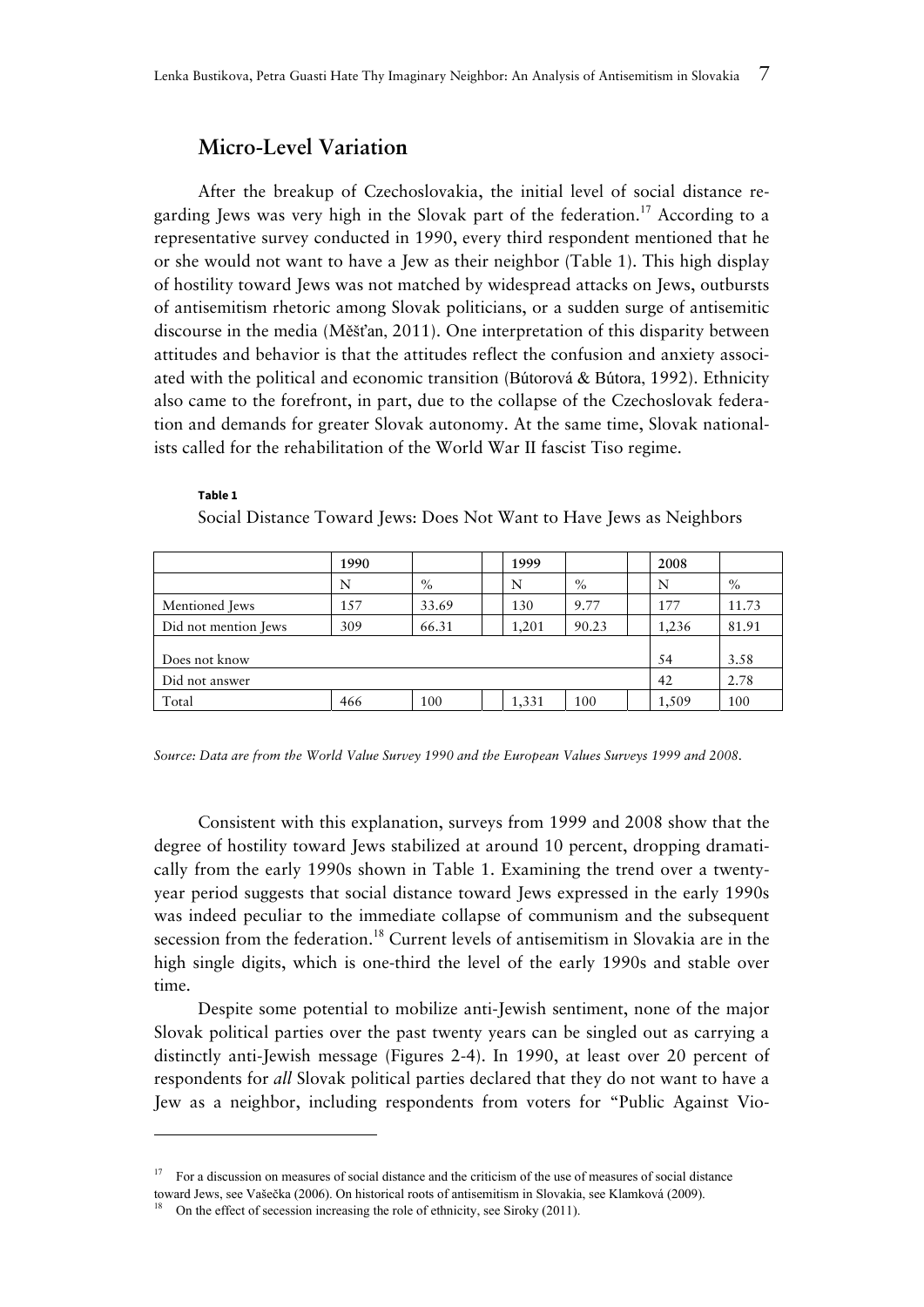# **Micro-Level Variation**

After the breakup of Czechoslovakia, the initial level of social distance regarding Jews was very high in the Slovak part of the federation.<sup>17</sup> According to a representative survey conducted in 1990, every third respondent mentioned that he or she would not want to have a Jew as their neighbor (Table 1). This high display of hostility toward Jews was not matched by widespread attacks on Jews, outbursts of antisemitism rhetoric among Slovak politicians, or a sudden surge of antisemitic discourse in the media (Měšťan, 2011). One interpretation of this disparity between attitudes and behavior is that the attitudes reflect the confusion and anxiety associated with the political and economic transition (Bútorová & Bútora, 1992). Ethnicity also came to the forefront, in part, due to the collapse of the Czechoslovak federation and demands for greater Slovak autonomy. At the same time, Slovak nationalists called for the rehabilitation of the World War II fascist Tiso regime.

#### **Table 1**

Social Distance Toward Jews: Does Not Want to Have Jews as Neighbors

|                      | 1990 |       |  | 1999  |       |      | 2008  |       |
|----------------------|------|-------|--|-------|-------|------|-------|-------|
|                      | N    | $\%$  |  | N     | $\%$  |      | N     | $\%$  |
| Mentioned Jews       | 157  | 33.69 |  | 130   | 9.77  |      | 177   | 11.73 |
| Did not mention Jews | 309  | 66.31 |  | 1,201 | 90.23 |      | 1,236 | 81.91 |
|                      |      |       |  |       |       |      |       |       |
| Does not know        |      |       |  |       |       |      | 54    | 3.58  |
| Did not answer       |      |       |  |       | 42    | 2.78 |       |       |
| Total                | 466  | 100   |  | 1,331 | 100   |      | 1,509 | 100   |

*Source: Data are from the World Value Survey 1990 and the European Values Surveys 1999 and 2008.* 

Consistent with this explanation, surveys from 1999 and 2008 show that the degree of hostility toward Jews stabilized at around 10 percent, dropping dramatically from the early 1990s shown in Table 1. Examining the trend over a twentyyear period suggests that social distance toward Jews expressed in the early 1990s was indeed peculiar to the immediate collapse of communism and the subsequent secession from the federation.<sup>18</sup> Current levels of antisemitism in Slovakia are in the high single digits, which is one-third the level of the early 1990s and stable over time.

Despite some potential to mobilize anti-Jewish sentiment, none of the major Slovak political parties over the past twenty years can be singled out as carrying a distinctly anti-Jewish message (Figures 2-4). In 1990, at least over 20 percent of respondents for *all* Slovak political parties declared that they do not want to have a Jew as a neighbor, including respondents from voters for "Public Against Vio-

<sup>17</sup> For a discussion on measures of social distance and the criticism of the use of measures of social distance

toward Jews, see Vašečka (2006). On historical roots of antisemitism in Slovakia, see Klamková (2009).

<sup>18</sup> On the effect of secession increasing the role of ethnicity, see Siroky (2011).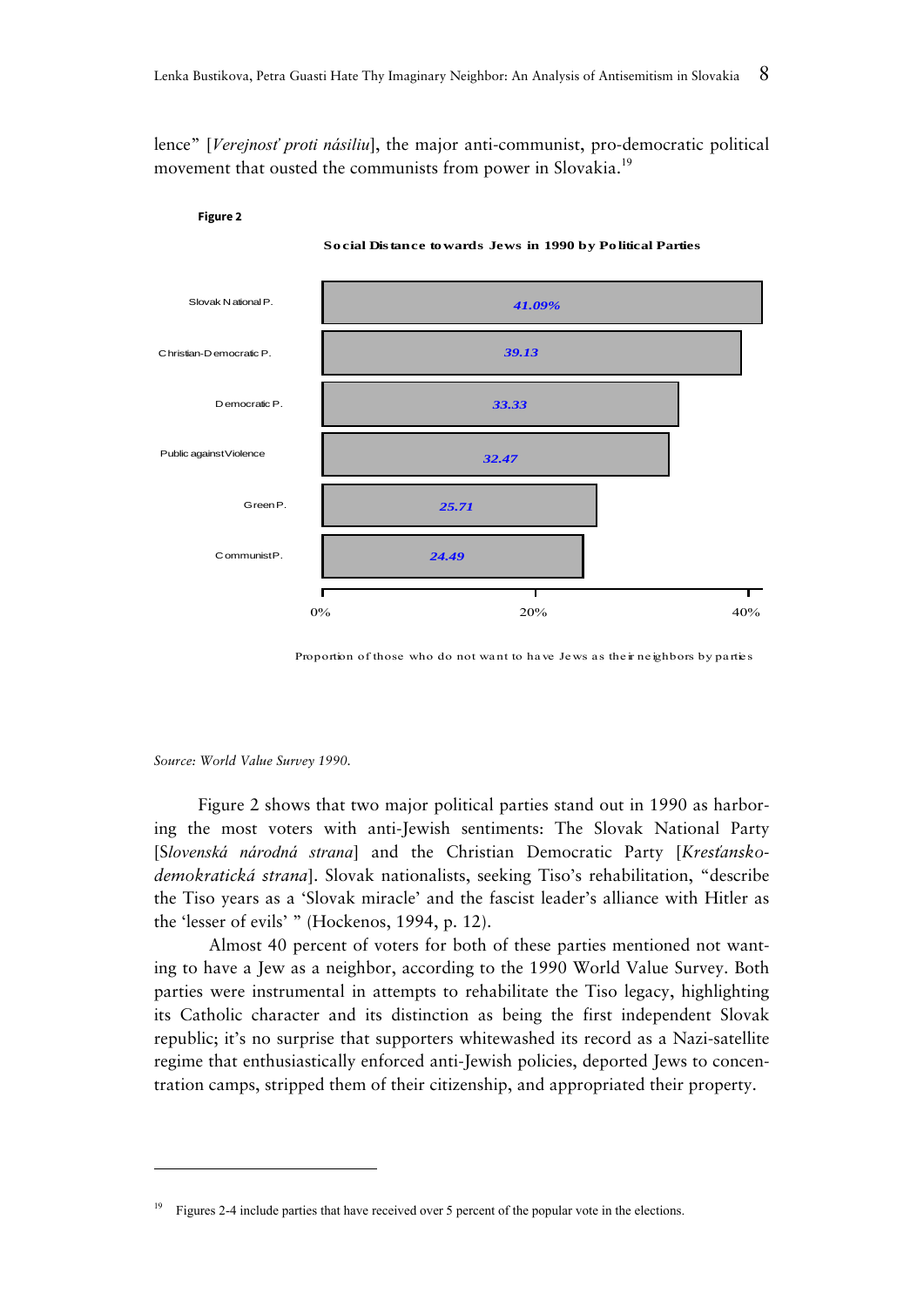lence" [*Verejnosť proti násiliu*], the major anti-communist, pro-democratic political movement that ousted the communists from power in Slovakia.<sup>19</sup>



**Figure 2** 

**Social Distance towards Jews in 1990 by Political Parties**

Proportion of those who do not want to have Jews as their neighbors by parties

*Source: World Value Survey 1990.*

-

Figure 2 shows that two major political parties stand out in 1990 as harboring the most voters with anti-Jewish sentiments: The Slovak National Party [S*lovenská národná strana*] and the Christian Democratic Party [*Kresťanskodemokratická strana*]. Slovak nationalists, seeking Tiso's rehabilitation, "describe the Tiso years as a 'Slovak miracle' and the fascist leader's alliance with Hitler as the 'lesser of evils' " (Hockenos, 1994, p. 12).

 Almost 40 percent of voters for both of these parties mentioned not wanting to have a Jew as a neighbor, according to the 1990 World Value Survey. Both parties were instrumental in attempts to rehabilitate the Tiso legacy, highlighting its Catholic character and its distinction as being the first independent Slovak republic; it's no surprise that supporters whitewashed its record as a Nazi-satellite regime that enthusiastically enforced anti-Jewish policies, deported Jews to concentration camps, stripped them of their citizenship, and appropriated their property.

<sup>&</sup>lt;sup>19</sup> Figures 2-4 include parties that have received over 5 percent of the popular vote in the elections.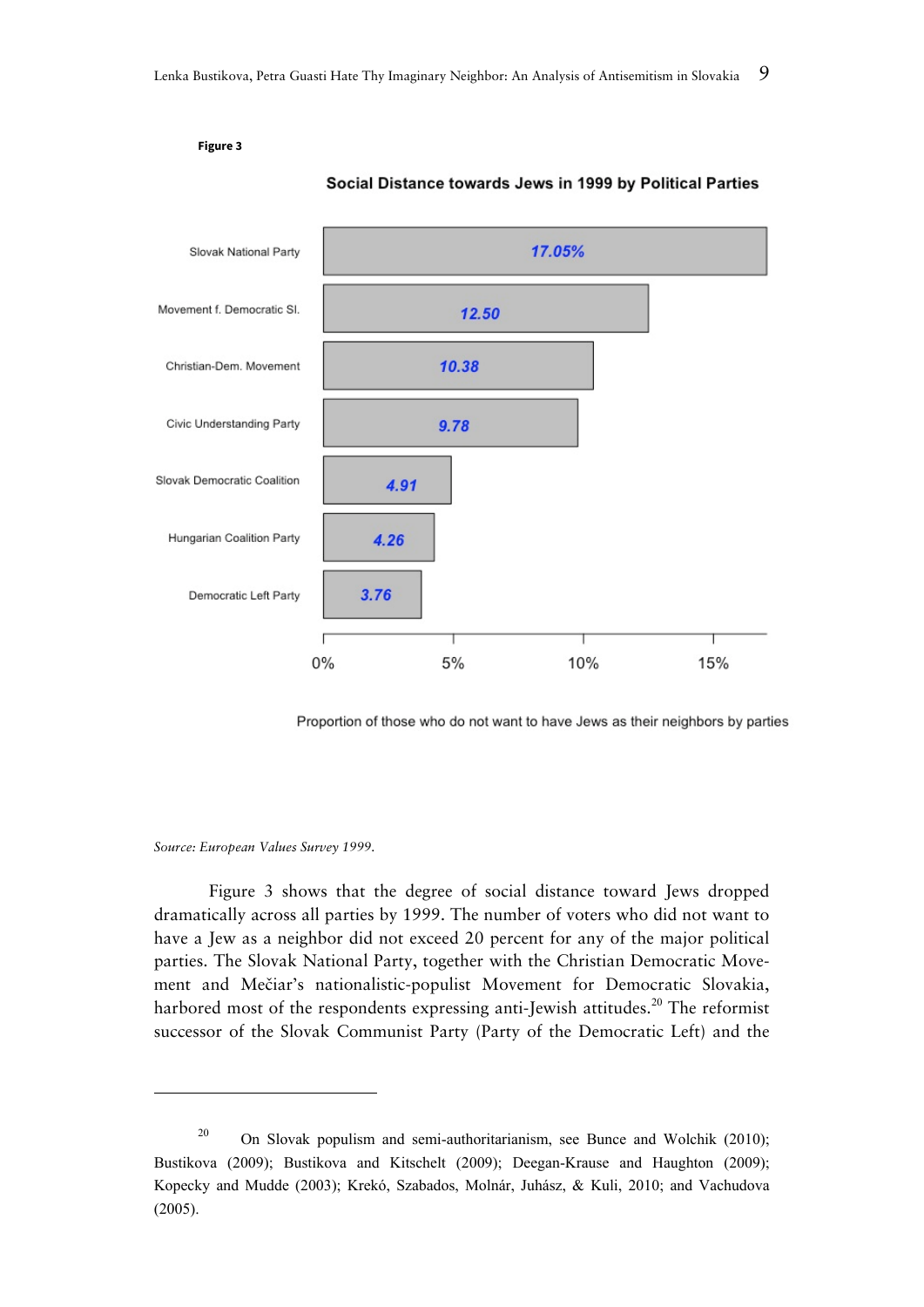

Social Distance towards Jews in 1999 by Political Parties

Proportion of those who do not want to have Jews as their neighbors by parties

#### *Source: European Values Survey 1999.*

 Figure 3 shows that the degree of social distance toward Jews dropped dramatically across all parties by 1999. The number of voters who did not want to have a Jew as a neighbor did not exceed 20 percent for any of the major political parties. The Slovak National Party, together with the Christian Democratic Movement and Mečiar's nationalistic-populist Movement for Democratic Slovakia, harbored most of the respondents expressing anti-Jewish attitudes.<sup>20</sup> The reformist successor of the Slovak Communist Party (Party of the Democratic Left) and the

**Figure 3**

<sup>&</sup>lt;sup>20</sup> On Slovak populism and semi-authoritarianism, see Bunce and Wolchik (2010); Bustikova (2009); Bustikova and Kitschelt (2009); Deegan-Krause and Haughton (2009); Kopecky and Mudde (2003); Krekó, Szabados, Molnár, Juhász, & Kuli, 2010; and Vachudova (2005).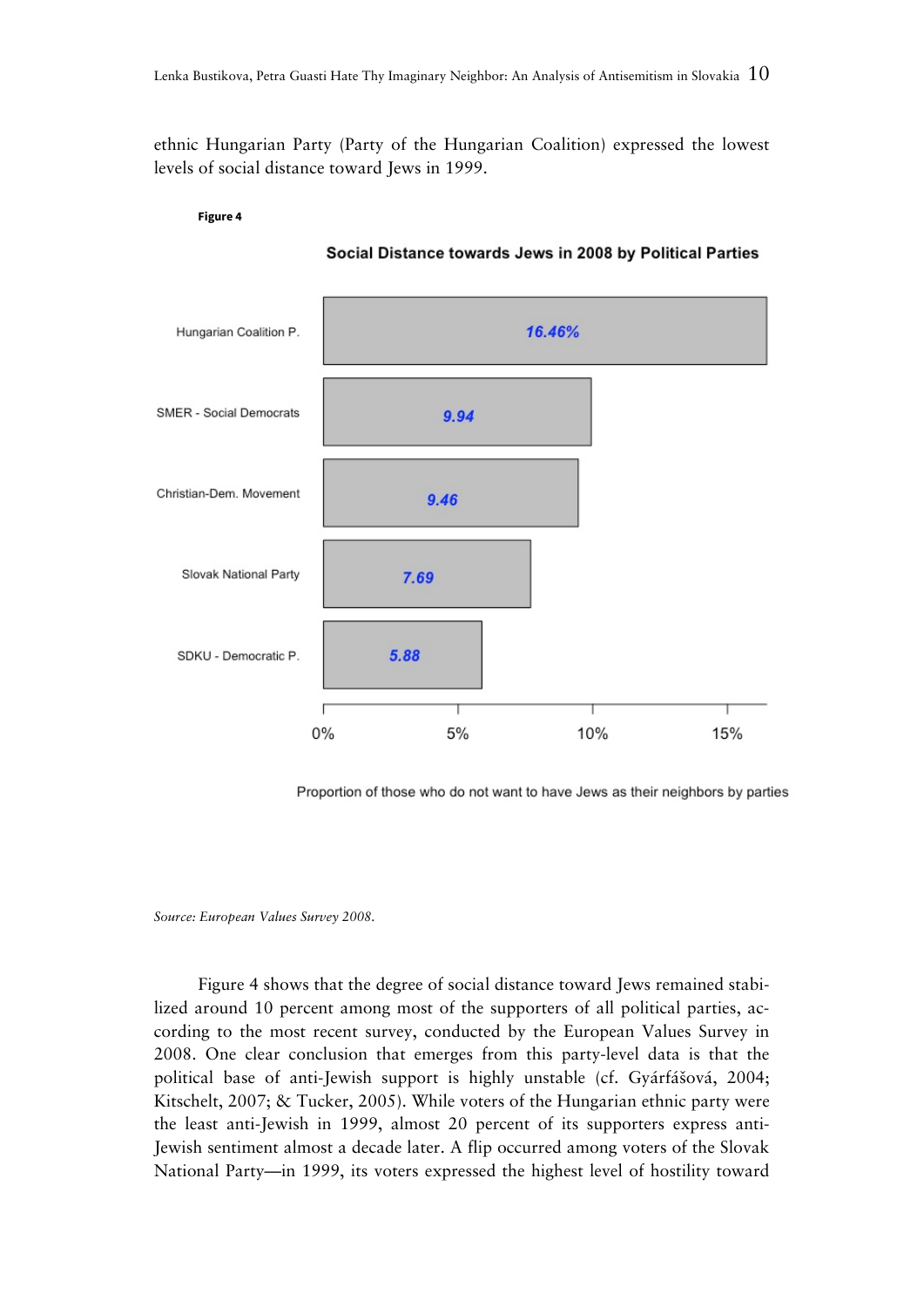ethnic Hungarian Party (Party of the Hungarian Coalition) expressed the lowest levels of social distance toward Jews in 1999.



Social Distance towards Jews in 2008 by Political Parties

Proportion of those who do not want to have Jews as their neighbors by parties

*Source: European Values Survey 2008.* 

**Figure 4** 

Figure 4 shows that the degree of social distance toward Jews remained stabilized around 10 percent among most of the supporters of all political parties, according to the most recent survey, conducted by the European Values Survey in 2008. One clear conclusion that emerges from this party-level data is that the political base of anti-Jewish support is highly unstable (cf. Gyárfášová, 2004; Kitschelt, 2007; & Tucker, 2005). While voters of the Hungarian ethnic party were the least anti-Jewish in 1999, almost 20 percent of its supporters express anti-Jewish sentiment almost a decade later. A flip occurred among voters of the Slovak National Party—in 1999, its voters expressed the highest level of hostility toward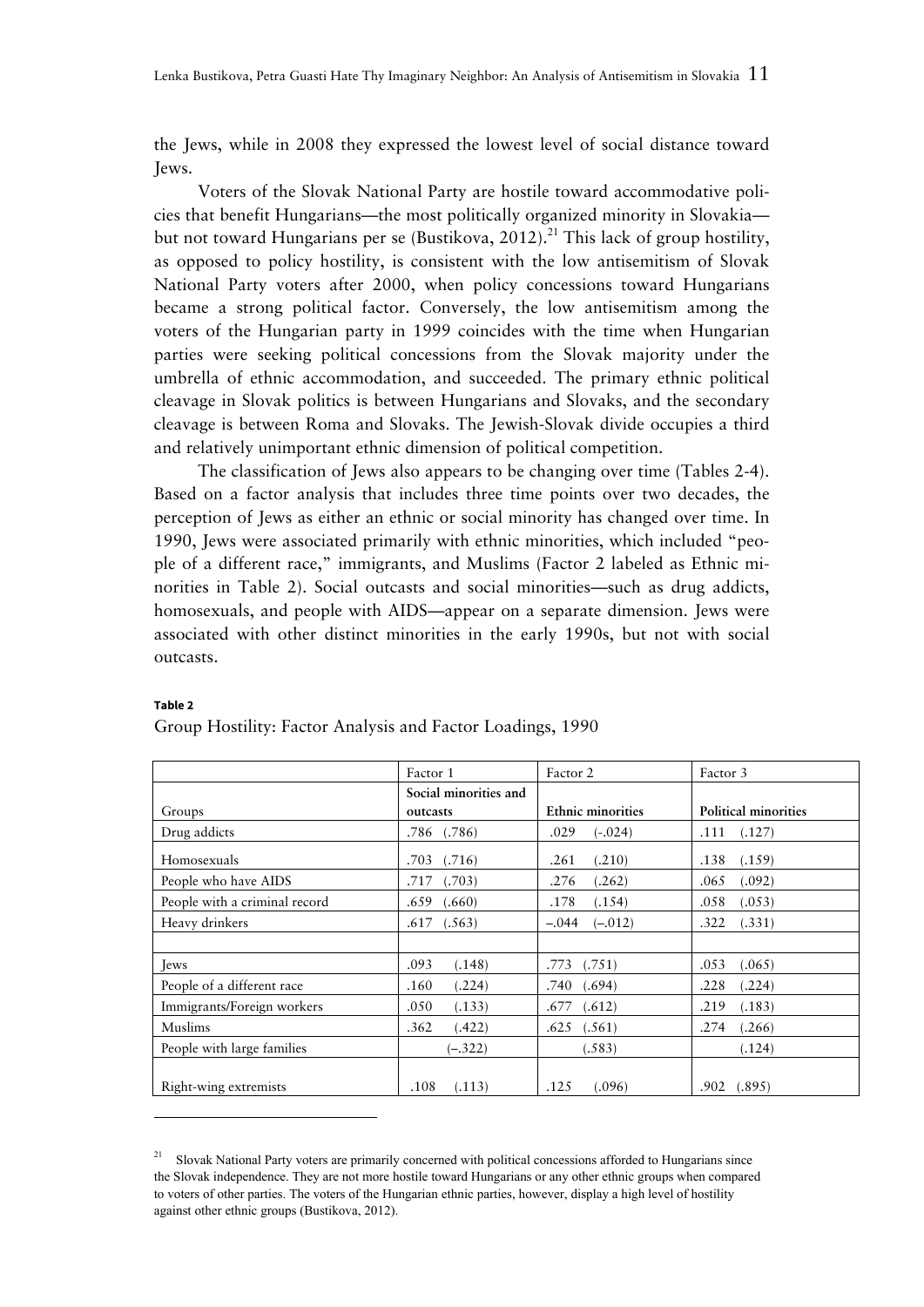the Jews, while in 2008 they expressed the lowest level of social distance toward Jews.

Voters of the Slovak National Party are hostile toward accommodative policies that benefit Hungarians—the most politically organized minority in Slovakia but not toward Hungarians per se (Bustikova, 2012).<sup>21</sup> This lack of group hostility, as opposed to policy hostility, is consistent with the low antisemitism of Slovak National Party voters after 2000, when policy concessions toward Hungarians became a strong political factor. Conversely, the low antisemitism among the voters of the Hungarian party in 1999 coincides with the time when Hungarian parties were seeking political concessions from the Slovak majority under the umbrella of ethnic accommodation, and succeeded. The primary ethnic political cleavage in Slovak politics is between Hungarians and Slovaks, and the secondary cleavage is between Roma and Slovaks. The Jewish-Slovak divide occupies a third and relatively unimportant ethnic dimension of political competition.

The classification of Jews also appears to be changing over time (Tables 2-4). Based on a factor analysis that includes three time points over two decades, the perception of Jews as either an ethnic or social minority has changed over time. In 1990, Jews were associated primarily with ethnic minorities, which included "people of a different race," immigrants, and Muslims (Factor 2 labeled as Ethnic minorities in Table 2). Social outcasts and social minorities—such as drug addicts, homosexuals, and people with AIDS—appear on a separate dimension. Jews were associated with other distinct minorities in the early 1990s, but not with social outcasts.

|                               | Factor 1              | Factor 2                 | Factor 3             |
|-------------------------------|-----------------------|--------------------------|----------------------|
|                               | Social minorities and |                          |                      |
| Groups                        | outcasts              | <b>Ethnic minorities</b> | Political minorities |
| Drug addicts                  | $.786$ $(.786)$       | .029<br>$(-0.024)$       | .111<br>(.127)       |
| Homosexuals                   | (.716)                | (.210)                   | .138                 |
|                               | .703                  | .261                     | (.159)               |
| People who have AIDS          | (.703)                | .276                     | (.092)               |
|                               | .717                  | (.262)                   | .065                 |
| People with a criminal record | .659                  | .178                     | .058                 |
|                               | (.660)                | (.154)                   | (.053)               |
| Heavy drinkers                | .617                  | $(-.012)$                | (.331)               |
|                               | (.563)                | $-.044$                  | .322                 |
|                               |                       |                          |                      |
| <b>J</b> ews                  | .093                  | .773                     | .053                 |
|                               | (.148)                | (.751)                   | (.065)               |
| People of a different race    | .160                  | .740                     | .228                 |
|                               | (.224)                | (.694)                   | (.224)               |
| Immigrants/Foreign workers    | .050                  | .677                     | .219                 |
|                               | (.133)                | (.612)                   | (.183)               |
| Muslims                       | .362<br>.422)         | $.625$ $(.561)$          | .274<br>(.266)       |
| People with large families    | $(-.322)$             | (.583)                   | (.124)               |
| Right-wing extremists         | .108                  | .125                     | .902                 |
|                               | (.113)                | (.096)                   | (.895)               |

#### **Table 2**

-

Group Hostility: Factor Analysis and Factor Loadings, 1990

<sup>21</sup> Slovak National Party voters are primarily concerned with political concessions afforded to Hungarians since the Slovak independence. They are not more hostile toward Hungarians or any other ethnic groups when compared to voters of other parties. The voters of the Hungarian ethnic parties, however, display a high level of hostility against other ethnic groups (Bustikova, 2012).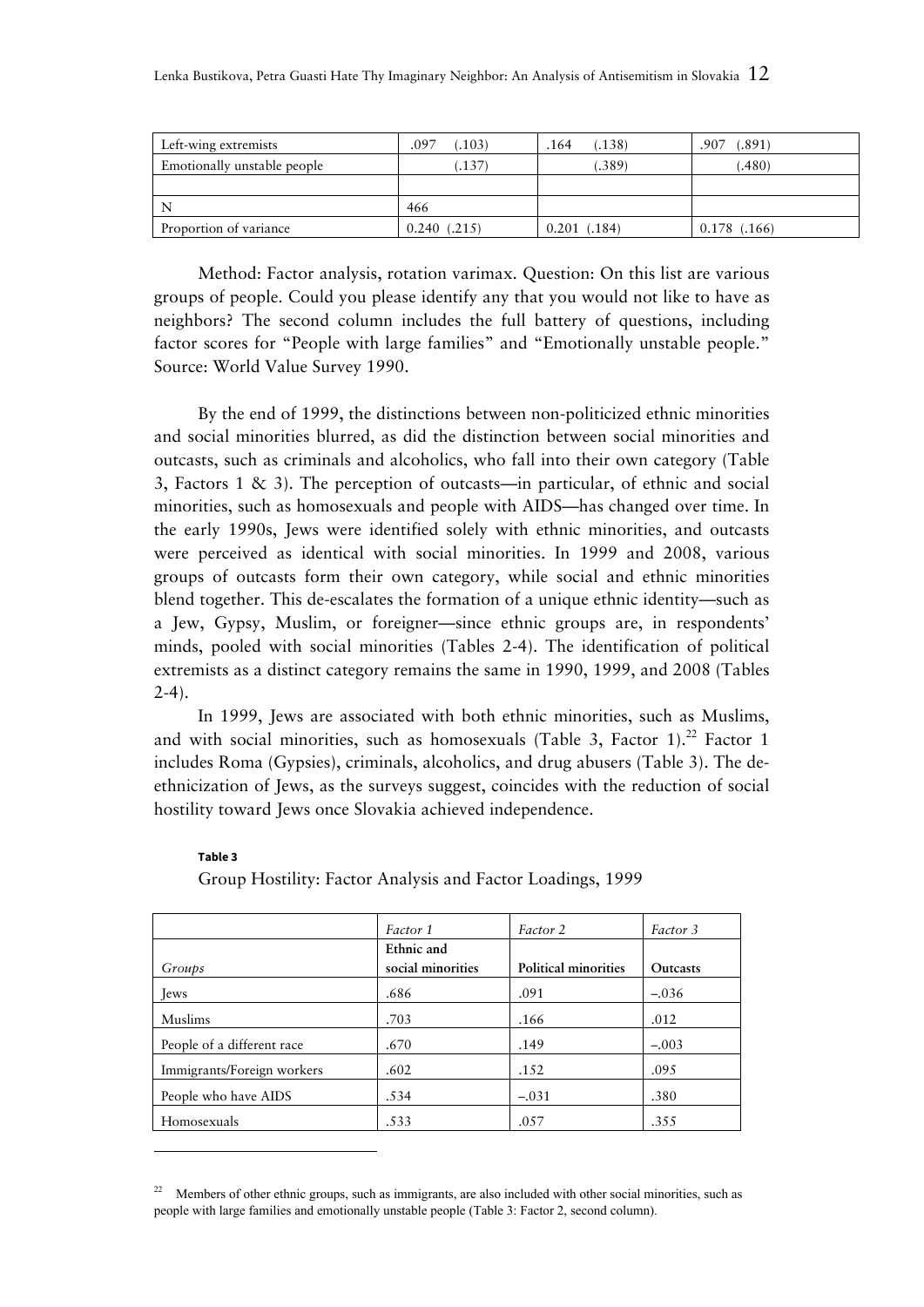| Left-wing extremists        | .103)<br>.097   | .138)<br>.164   | .891)<br>.907  |
|-----------------------------|-----------------|-----------------|----------------|
| Emotionally unstable people | .137)           | .389            | .480)          |
|                             |                 |                 |                |
|                             | 466             |                 |                |
| Proportion of variance      | 0.240<br>(.215) | (.184)<br>0.201 | $0.178$ (.166) |

Method: Factor analysis, rotation varimax. Question: On this list are various groups of people. Could you please identify any that you would not like to have as neighbors? The second column includes the full battery of questions, including factor scores for "People with large families" and "Emotionally unstable people." Source: World Value Survey 1990.

By the end of 1999, the distinctions between non-politicized ethnic minorities and social minorities blurred, as did the distinction between social minorities and outcasts, such as criminals and alcoholics, who fall into their own category (Table 3, Factors 1 & 3). The perception of outcasts—in particular, of ethnic and social minorities, such as homosexuals and people with AIDS—has changed over time. In the early 1990s, Jews were identified solely with ethnic minorities, and outcasts were perceived as identical with social minorities. In 1999 and 2008, various groups of outcasts form their own category, while social and ethnic minorities blend together. This de-escalates the formation of a unique ethnic identity—such as a Jew, Gypsy, Muslim, or foreigner—since ethnic groups are, in respondents' minds, pooled with social minorities (Tables 2-4). The identification of political extremists as a distinct category remains the same in 1990, 1999, and 2008 (Tables  $2-4$ ).

In 1999, Jews are associated with both ethnic minorities, such as Muslims, and with social minorities, such as homosexuals (Table 3, Factor 1).<sup>22</sup> Factor 1 includes Roma (Gypsies), criminals, alcoholics, and drug abusers (Table 3). The deethnicization of Jews, as the surveys suggest, coincides with the reduction of social hostility toward Jews once Slovakia achieved independence.

#### **Table 3**

-

Group Hostility: Factor Analysis and Factor Loadings, 1999

|                            | Factor 1                        | Factor 2             | Factor 3        |
|----------------------------|---------------------------------|----------------------|-----------------|
| Groups                     | Ethnic and<br>social minorities | Political minorities | <b>Outcasts</b> |
| <b>T</b> ews               | .686                            | .091                 | $-.036$         |
| Muslims                    | .703                            | .166                 | .012            |
| People of a different race | .670                            | .149                 | $-.003$         |
| Immigrants/Foreign workers | .602                            | .152                 | .095            |
| People who have AIDS       | .534                            | $-.031$              | .380            |
| Homosexuals                | .533                            | .057                 | .355            |

Members of other ethnic groups, such as immigrants, are also included with other social minorities, such as people with large families and emotionally unstable people (Table 3: Factor 2, second column).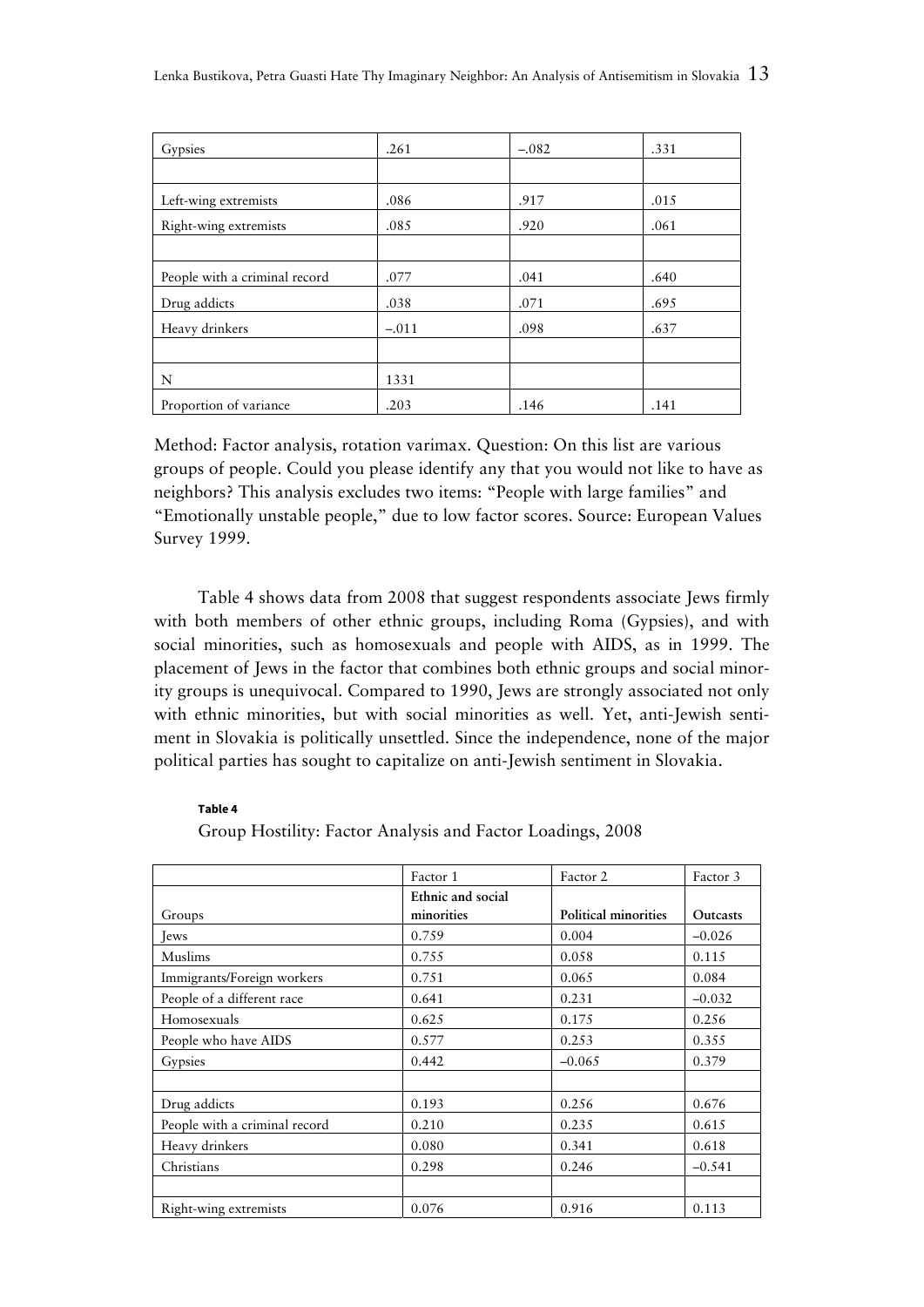| Gypsies                       | .261    | $-.082$ | .331 |
|-------------------------------|---------|---------|------|
|                               |         |         |      |
| Left-wing extremists          | .086    | .917    | .015 |
| Right-wing extremists         | .085    | .920    | .061 |
|                               |         |         |      |
| People with a criminal record | .077    | .041    | .640 |
| Drug addicts                  | .038    | .071    | .695 |
| Heavy drinkers                | $-.011$ | .098    | .637 |
|                               |         |         |      |
| N                             | 1331    |         |      |
| Proportion of variance        | .203    | .146    | .141 |

Method: Factor analysis, rotation varimax. Question: On this list are various groups of people. Could you please identify any that you would not like to have as neighbors? This analysis excludes two items: "People with large families" and "Emotionally unstable people," due to low factor scores. Source: European Values Survey 1999.

Table 4 shows data from 2008 that suggest respondents associate Jews firmly with both members of other ethnic groups, including Roma (Gypsies), and with social minorities, such as homosexuals and people with AIDS, as in 1999. The placement of Jews in the factor that combines both ethnic groups and social minority groups is unequivocal. Compared to 1990, Jews are strongly associated not only with ethnic minorities, but with social minorities as well. Yet, anti-Jewish sentiment in Slovakia is politically unsettled. Since the independence, none of the major political parties has sought to capitalize on anti-Jewish sentiment in Slovakia.

#### **Table 4**

|                               | Factor 1          | Factor 2             | Factor 3 |
|-------------------------------|-------------------|----------------------|----------|
|                               | Ethnic and social |                      |          |
| Groups                        | minorities        | Political minorities | Outcasts |
| Jews                          | 0.759             | 0.004                | $-0.026$ |
| Muslims                       | 0.755             | 0.058                | 0.115    |
| Immigrants/Foreign workers    | 0.751             | 0.065                | 0.084    |
| People of a different race    | 0.641             | 0.231                | $-0.032$ |
| Homosexuals                   | 0.625             | 0.175                | 0.256    |
| People who have AIDS          | 0.577             | 0.253                | 0.355    |
| Gypsies                       | 0.442             | $-0.065$             | 0.379    |
|                               |                   |                      |          |
| Drug addicts                  | 0.193             | 0.256                | 0.676    |
| People with a criminal record | 0.210             | 0.235                | 0.615    |
| Heavy drinkers                | 0.080             | 0.341                | 0.618    |
| Christians                    | 0.298             | 0.246                | $-0.541$ |
|                               |                   |                      |          |
| Right-wing extremists         | 0.076             | 0.916                | 0.113    |

Group Hostility: Factor Analysis and Factor Loadings, 2008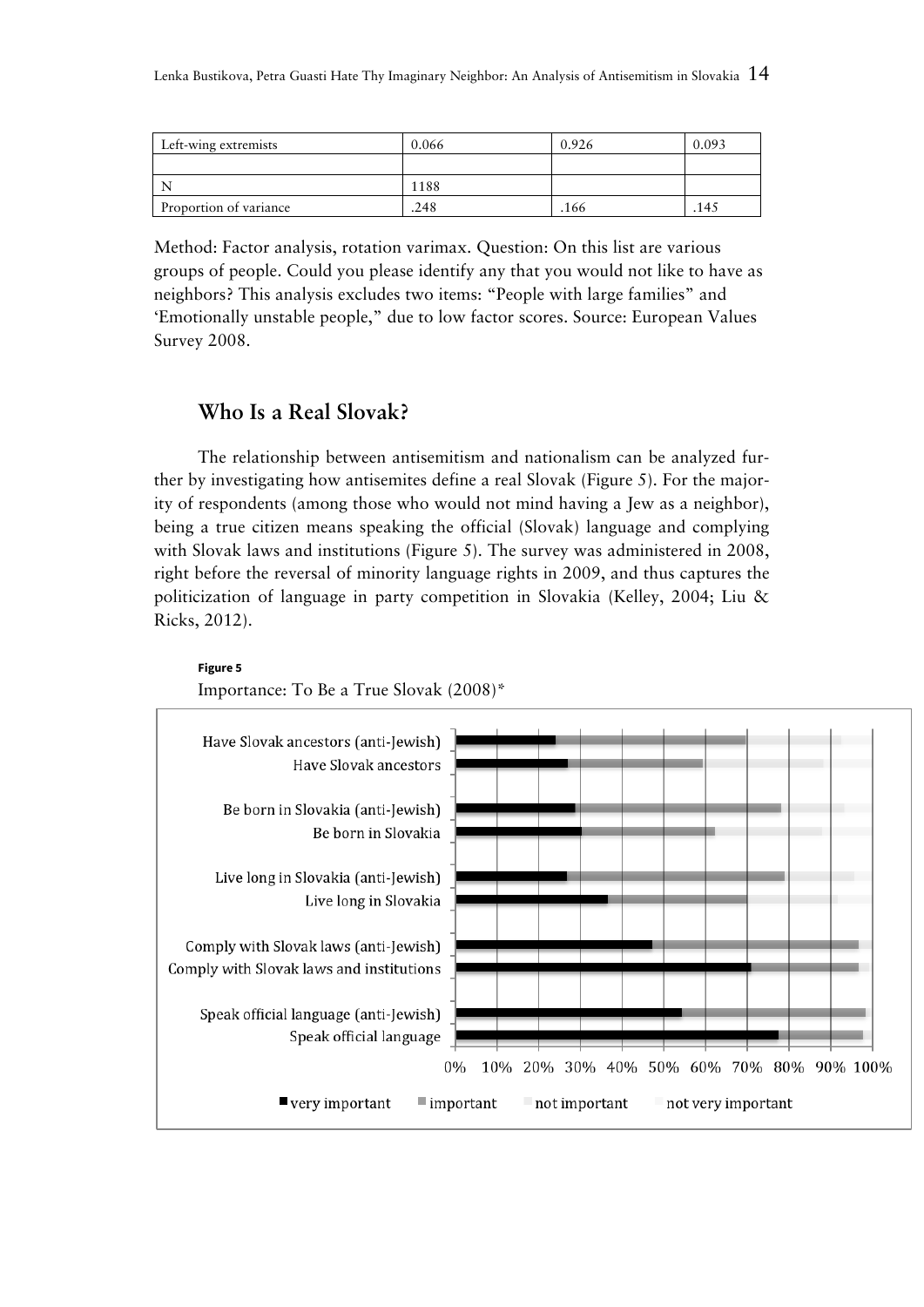| Left-wing extremists   | 0.066 | 0.926 | : 09 ( |
|------------------------|-------|-------|--------|
|                        |       |       |        |
|                        | 1188  |       |        |
| Proportion of variance | .248  | .166  | 145    |

Method: Factor analysis, rotation varimax. Question: On this list are various groups of people. Could you please identify any that you would not like to have as neighbors? This analysis excludes two items: "People with large families" and 'Emotionally unstable people," due to low factor scores. Source: European Values Survey 2008.

# **Who Is a Real Slovak?**

The relationship between antisemitism and nationalism can be analyzed further by investigating how antisemites define a real Slovak (Figure 5). For the majority of respondents (among those who would not mind having a Jew as a neighbor), being a true citizen means speaking the official (Slovak) language and complying with Slovak laws and institutions (Figure 5). The survey was administered in 2008, right before the reversal of minority language rights in 2009, and thus captures the politicization of language in party competition in Slovakia (Kelley, 2004; Liu & Ricks, 2012).



### **Figure 5**  Importance: To Be a True Slovak (2008)\*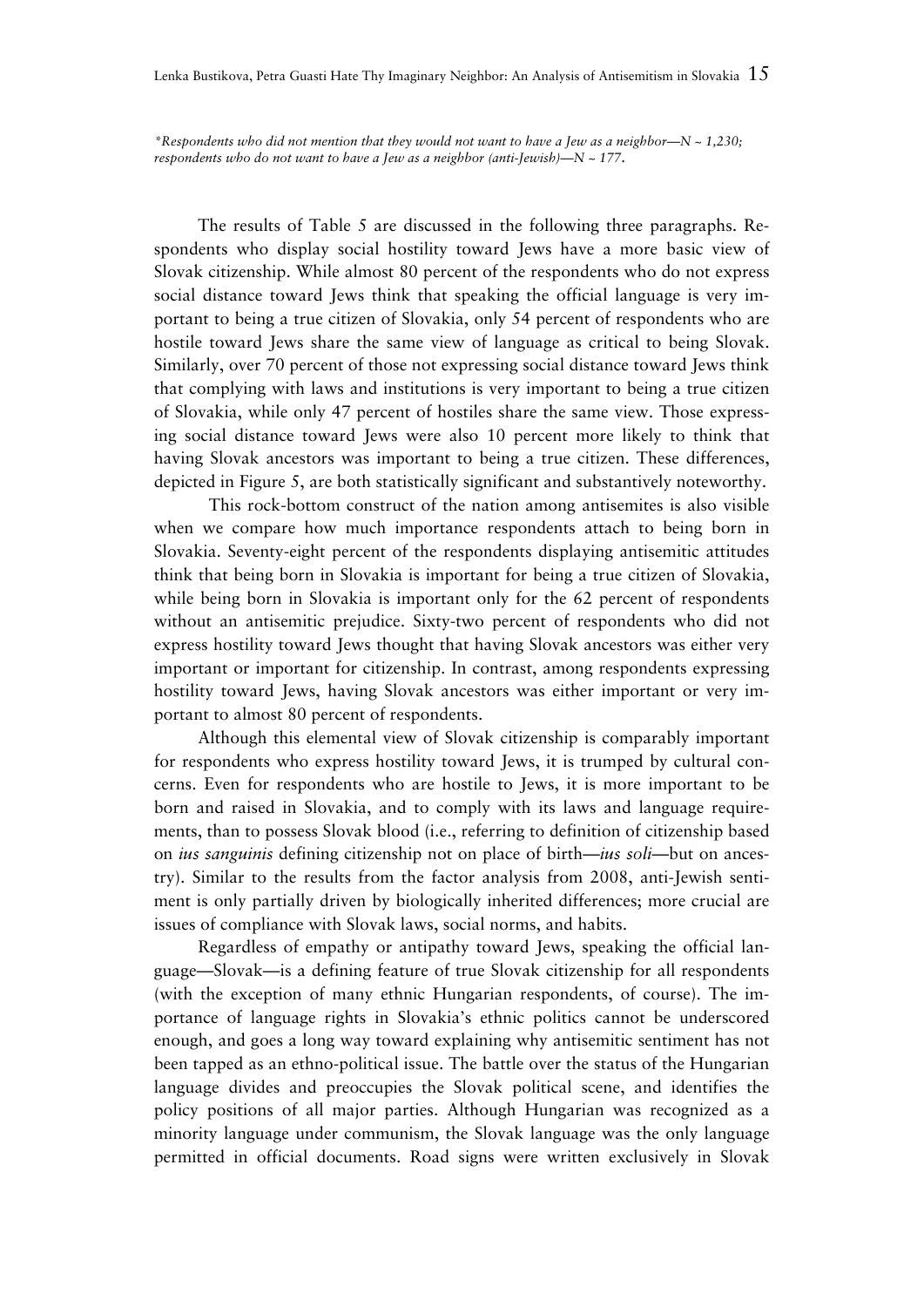*\*Respondents who did not mention that they would not want to have a Jew as a neighbor—N ~ 1,230; respondents who do not want to have a Jew as a neighbor (anti-Jewish)—N ~ 177.*

The results of Table 5 are discussed in the following three paragraphs. Respondents who display social hostility toward Jews have a more basic view of Slovak citizenship. While almost 80 percent of the respondents who do not express social distance toward Jews think that speaking the official language is very important to being a true citizen of Slovakia, only 54 percent of respondents who are hostile toward Jews share the same view of language as critical to being Slovak. Similarly, over 70 percent of those not expressing social distance toward Jews think that complying with laws and institutions is very important to being a true citizen of Slovakia, while only 47 percent of hostiles share the same view. Those expressing social distance toward Jews were also 10 percent more likely to think that having Slovak ancestors was important to being a true citizen. These differences, depicted in Figure 5, are both statistically significant and substantively noteworthy.

 This rock-bottom construct of the nation among antisemites is also visible when we compare how much importance respondents attach to being born in Slovakia. Seventy-eight percent of the respondents displaying antisemitic attitudes think that being born in Slovakia is important for being a true citizen of Slovakia, while being born in Slovakia is important only for the 62 percent of respondents without an antisemitic prejudice. Sixty-two percent of respondents who did not express hostility toward Jews thought that having Slovak ancestors was either very important or important for citizenship. In contrast, among respondents expressing hostility toward Jews, having Slovak ancestors was either important or very important to almost 80 percent of respondents.

Although this elemental view of Slovak citizenship is comparably important for respondents who express hostility toward Jews, it is trumped by cultural concerns. Even for respondents who are hostile to Jews, it is more important to be born and raised in Slovakia, and to comply with its laws and language requirements, than to possess Slovak blood (i.e., referring to definition of citizenship based on *ius sanguinis* defining citizenship not on place of birth—*ius soli*—but on ancestry). Similar to the results from the factor analysis from 2008, anti-Jewish sentiment is only partially driven by biologically inherited differences; more crucial are issues of compliance with Slovak laws, social norms, and habits.

Regardless of empathy or antipathy toward Jews, speaking the official language—Slovak—is a defining feature of true Slovak citizenship for all respondents (with the exception of many ethnic Hungarian respondents, of course). The importance of language rights in Slovakia's ethnic politics cannot be underscored enough, and goes a long way toward explaining why antisemitic sentiment has not been tapped as an ethno-political issue. The battle over the status of the Hungarian language divides and preoccupies the Slovak political scene, and identifies the policy positions of all major parties. Although Hungarian was recognized as a minority language under communism, the Slovak language was the only language permitted in official documents. Road signs were written exclusively in Slovak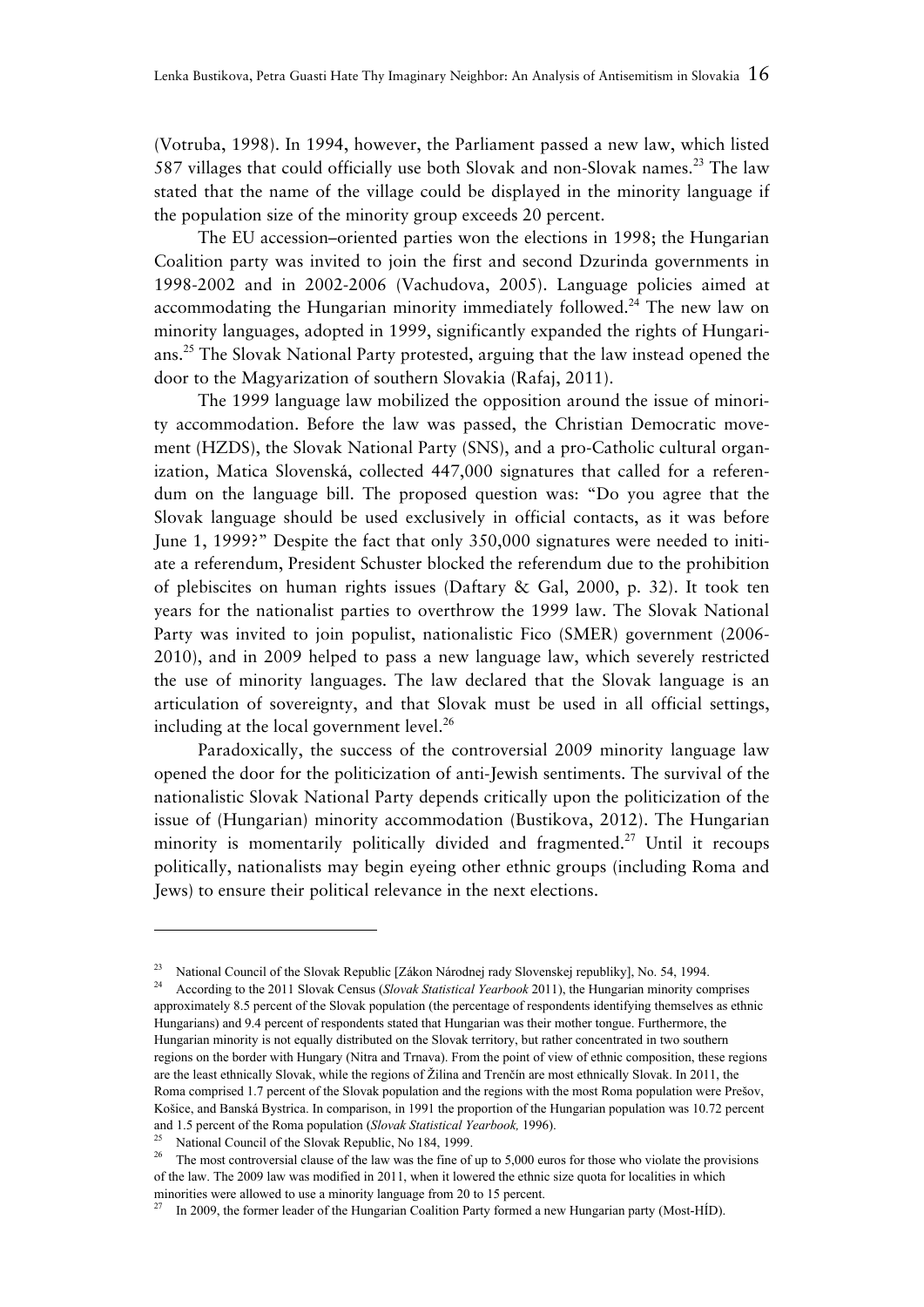(Votruba, 1998). In 1994, however, the Parliament passed a new law, which listed 587 villages that could officially use both Slovak and non-Slovak names.<sup>23</sup> The law stated that the name of the village could be displayed in the minority language if the population size of the minority group exceeds 20 percent.

The EU accession–oriented parties won the elections in 1998; the Hungarian Coalition party was invited to join the first and second Dzurinda governments in 1998-2002 and in 2002-2006 (Vachudova, 2005). Language policies aimed at accommodating the Hungarian minority immediately followed.<sup>24</sup> The new law on minority languages, adopted in 1999, significantly expanded the rights of Hungarians.<sup>25</sup> The Slovak National Party protested, arguing that the law instead opened the door to the Magyarization of southern Slovakia (Rafaj, 2011).

The 1999 language law mobilized the opposition around the issue of minority accommodation. Before the law was passed, the Christian Democratic movement (HZDS), the Slovak National Party (SNS), and a pro-Catholic cultural organization, Matica Slovenská, collected 447,000 signatures that called for a referendum on the language bill. The proposed question was: "Do you agree that the Slovak language should be used exclusively in official contacts, as it was before June 1, 1999?" Despite the fact that only 350,000 signatures were needed to initiate a referendum, President Schuster blocked the referendum due to the prohibition of plebiscites on human rights issues (Daftary & Gal, 2000, p. 32). It took ten years for the nationalist parties to overthrow the 1999 law. The Slovak National Party was invited to join populist, nationalistic Fico (SMER) government (2006- 2010), and in 2009 helped to pass a new language law, which severely restricted the use of minority languages. The law declared that the Slovak language is an articulation of sovereignty, and that Slovak must be used in all official settings, including at the local government level.<sup>26</sup>

Paradoxically, the success of the controversial 2009 minority language law opened the door for the politicization of anti-Jewish sentiments. The survival of the nationalistic Slovak National Party depends critically upon the politicization of the issue of (Hungarian) minority accommodation (Bustikova, 2012). The Hungarian minority is momentarily politically divided and fragmented.<sup>27</sup> Until it recoups politically, nationalists may begin eyeing other ethnic groups (including Roma and Jews) to ensure their political relevance in the next elections.

<sup>&</sup>lt;sup>23</sup> National Council of the Slovak Republic [Zákon Národnej rady Slovenskej republiky], No. 54, 1994.

<sup>24</sup> According to the 2011 Slovak Census (*Slovak Statistical Yearbook* 2011), the Hungarian minority comprises approximately 8.5 percent of the Slovak population (the percentage of respondents identifying themselves as ethnic Hungarians) and 9.4 percent of respondents stated that Hungarian was their mother tongue. Furthermore, the Hungarian minority is not equally distributed on the Slovak territory, but rather concentrated in two southern regions on the border with Hungary (Nitra and Trnava). From the point of view of ethnic composition, these regions are the least ethnically Slovak, while the regions of Žilina and Trenčín are most ethnically Slovak. In 2011, the Roma comprised 1.7 percent of the Slovak population and the regions with the most Roma population were Prešov, Košice, and Banská Bystrica. In comparison, in 1991 the proportion of the Hungarian population was 10.72 percent and 1.5 percent of the Roma population (*Slovak Statistical Yearbook,* 1996).

National Council of the Slovak Republic, No 184, 1999.

<sup>&</sup>lt;sup>26</sup> The most controversial clause of the law was the fine of up to 5,000 euros for those who violate the provisions of the law. The 2009 law was modified in 2011, when it lowered the ethnic size quota for localities in which minorities were allowed to use a minority language from 20 to 15 percent.

In 2009, the former leader of the Hungarian Coalition Party formed a new Hungarian party (Most-HÍD).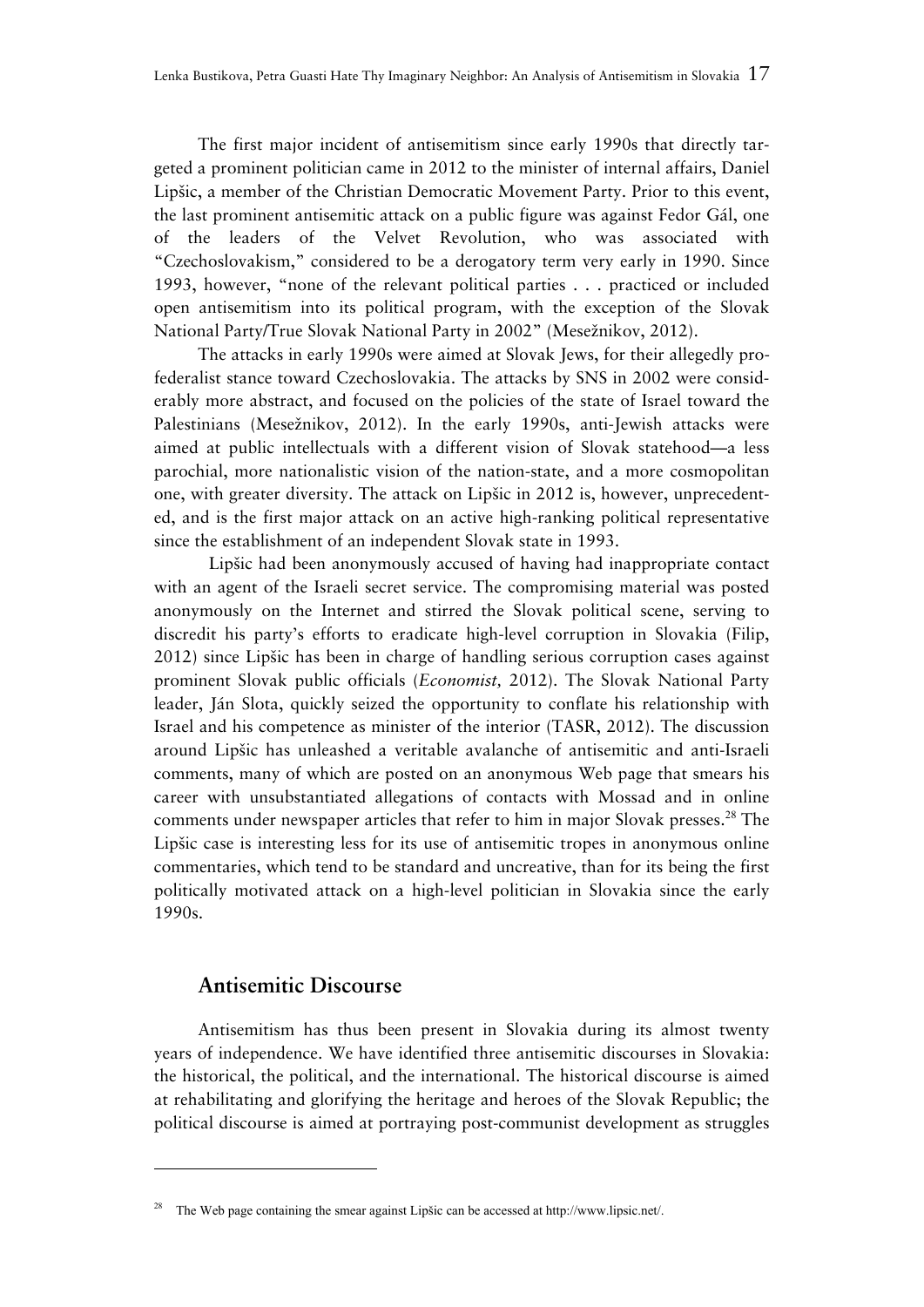The first major incident of antisemitism since early 1990s that directly targeted a prominent politician came in 2012 to the minister of internal affairs, Daniel Lipšic, a member of the Christian Democratic Movement Party. Prior to this event, the last prominent antisemitic attack on a public figure was against Fedor Gál, one of the leaders of the Velvet Revolution, who was associated with "Czechoslovakism," considered to be a derogatory term very early in 1990. Since 1993, however, "none of the relevant political parties . . . practiced or included open antisemitism into its political program, with the exception of the Slovak National Party/True Slovak National Party in 2002" (Mesežnikov, 2012).

The attacks in early 1990s were aimed at Slovak Jews, for their allegedly profederalist stance toward Czechoslovakia. The attacks by SNS in 2002 were considerably more abstract, and focused on the policies of the state of Israel toward the Palestinians (Mesežnikov, 2012). In the early 1990s, anti-Jewish attacks were aimed at public intellectuals with a different vision of Slovak statehood—a less parochial, more nationalistic vision of the nation-state, and a more cosmopolitan one, with greater diversity. The attack on Lipšic in 2012 is, however, unprecedented, and is the first major attack on an active high-ranking political representative since the establishment of an independent Slovak state in 1993.

 Lipšic had been anonymously accused of having had inappropriate contact with an agent of the Israeli secret service. The compromising material was posted anonymously on the Internet and stirred the Slovak political scene, serving to discredit his party's efforts to eradicate high-level corruption in Slovakia (Filip, 2012) since Lipšic has been in charge of handling serious corruption cases against prominent Slovak public officials (*Economist,* 2012). The Slovak National Party leader, Ján Slota, quickly seized the opportunity to conflate his relationship with Israel and his competence as minister of the interior (TASR, 2012). The discussion around Lipšic has unleashed a veritable avalanche of antisemitic and anti-Israeli comments, many of which are posted on an anonymous Web page that smears his career with unsubstantiated allegations of contacts with Mossad and in online comments under newspaper articles that refer to him in major Slovak presses.<sup>28</sup> The Lipšic case is interesting less for its use of antisemitic tropes in anonymous online commentaries, which tend to be standard and uncreative, than for its being the first politically motivated attack on a high-level politician in Slovakia since the early 1990s.

# **Antisemitic Discourse**

-

Antisemitism has thus been present in Slovakia during its almost twenty years of independence. We have identified three antisemitic discourses in Slovakia: the historical, the political, and the international. The historical discourse is aimed at rehabilitating and glorifying the heritage and heroes of the Slovak Republic; the political discourse is aimed at portraying post-communist development as struggles

<sup>28</sup> The Web page containing the smear against Lipšic can be accessed at http://www.lipsic.net/.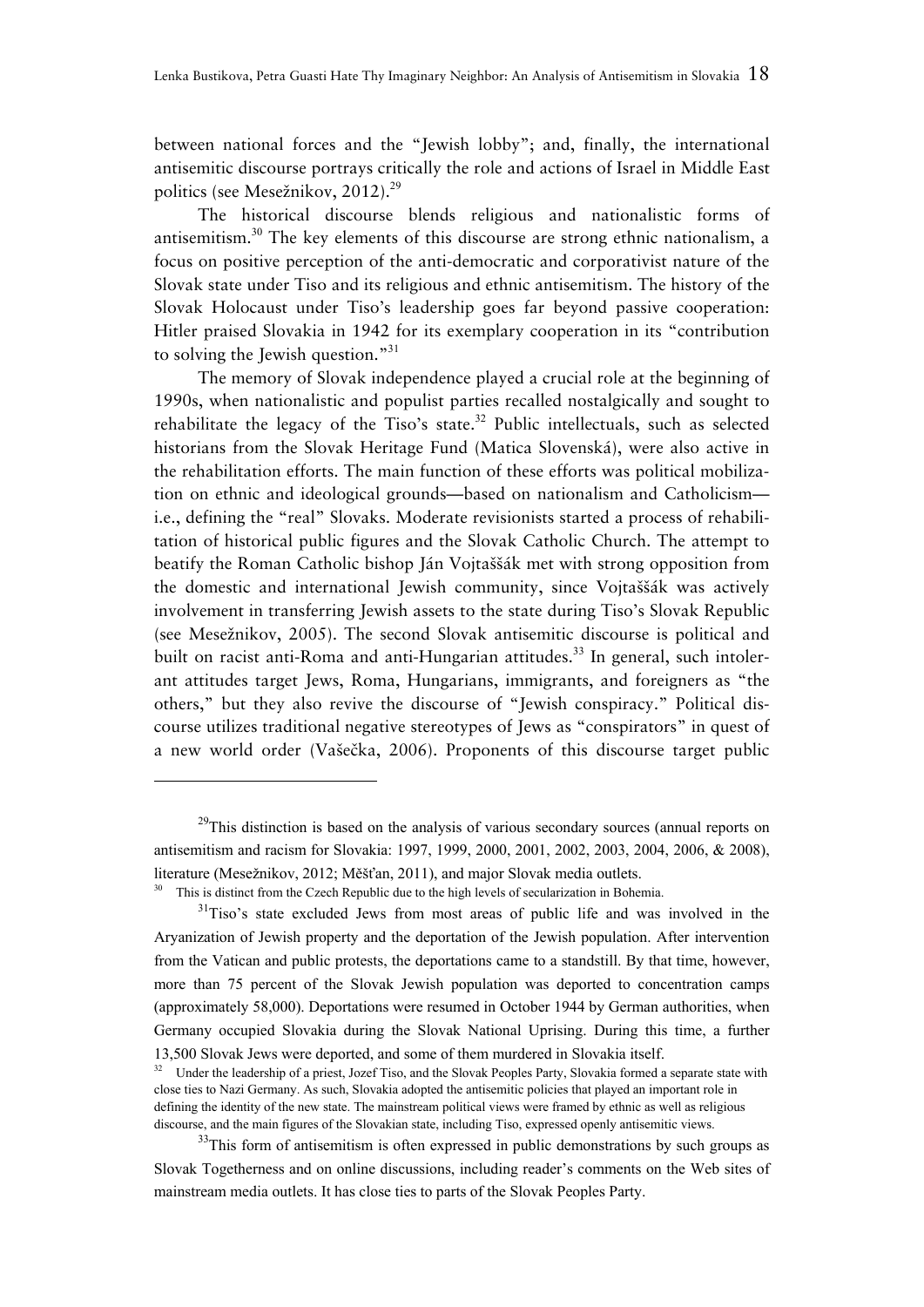between national forces and the "Jewish lobby"; and, finally, the international antisemitic discourse portrays critically the role and actions of Israel in Middle East politics (see Mesežnikov, 2012).<sup>29</sup>

The historical discourse blends religious and nationalistic forms of antisemitism.<sup>30</sup> The key elements of this discourse are strong ethnic nationalism, a focus on positive perception of the anti-democratic and corporativist nature of the Slovak state under Tiso and its religious and ethnic antisemitism. The history of the Slovak Holocaust under Tiso's leadership goes far beyond passive cooperation: Hitler praised Slovakia in 1942 for its exemplary cooperation in its "contribution to solving the Jewish question."<sup>31</sup>

The memory of Slovak independence played a crucial role at the beginning of 1990s, when nationalistic and populist parties recalled nostalgically and sought to rehabilitate the legacy of the Tiso's state.<sup>32</sup> Public intellectuals, such as selected historians from the Slovak Heritage Fund (Matica Slovenská), were also active in the rehabilitation efforts. The main function of these efforts was political mobilization on ethnic and ideological grounds—based on nationalism and Catholicism i.e., defining the "real" Slovaks. Moderate revisionists started a process of rehabilitation of historical public figures and the Slovak Catholic Church. The attempt to beatify the Roman Catholic bishop Ján Vojtaššák met with strong opposition from the domestic and international Jewish community, since Vojtaššák was actively involvement in transferring Jewish assets to the state during Tiso's Slovak Republic (see Mesežnikov, 2005). The second Slovak antisemitic discourse is political and built on racist anti-Roma and anti-Hungarian attitudes.<sup>33</sup> In general, such intolerant attitudes target Jews, Roma, Hungarians, immigrants, and foreigners as "the others," but they also revive the discourse of "Jewish conspiracy." Political discourse utilizes traditional negative stereotypes of Jews as "conspirators" in quest of a new world order (Vašečka, 2006). Proponents of this discourse target public

<sup>&</sup>lt;sup>29</sup>This distinction is based on the analysis of various secondary sources (annual reports on antisemitism and racism for Slovakia: 1997, 1999, 2000, 2001, 2002, 2003, 2004, 2006, & 2008), literature (Mesežnikov, 2012; Měšťan, 2011), and major Slovak media outlets.<br><sup>30</sup> This is distinct from the Czech Republic due to the high levels of secularization in Bohemia.

<sup>&</sup>lt;sup>31</sup>Tiso's state excluded Jews from most areas of public life and was involved in the Aryanization of Jewish property and the deportation of the Jewish population. After intervention from the Vatican and public protests, the deportations came to a standstill. By that time, however, more than 75 percent of the Slovak Jewish population was deported to concentration camps (approximately 58,000). Deportations were resumed in October 1944 by German authorities, when Germany occupied Slovakia during the Slovak National Uprising. During this time, a further 13,500 Slovak Jews were deported, and some of them murdered in Slovakia itself.

Under the leadership of a priest, Jozef Tiso, and the Slovak Peoples Party, Slovakia formed a separate state with close ties to Nazi Germany. As such, Slovakia adopted the antisemitic policies that played an important role in defining the identity of the new state. The mainstream political views were framed by ethnic as well as religious discourse, and the main figures of the Slovakian state, including Tiso, expressed openly antisemitic views.

 $33$ This form of antisemitism is often expressed in public demonstrations by such groups as Slovak Togetherness and on online discussions, including reader's comments on the Web sites of mainstream media outlets. It has close ties to parts of the Slovak Peoples Party.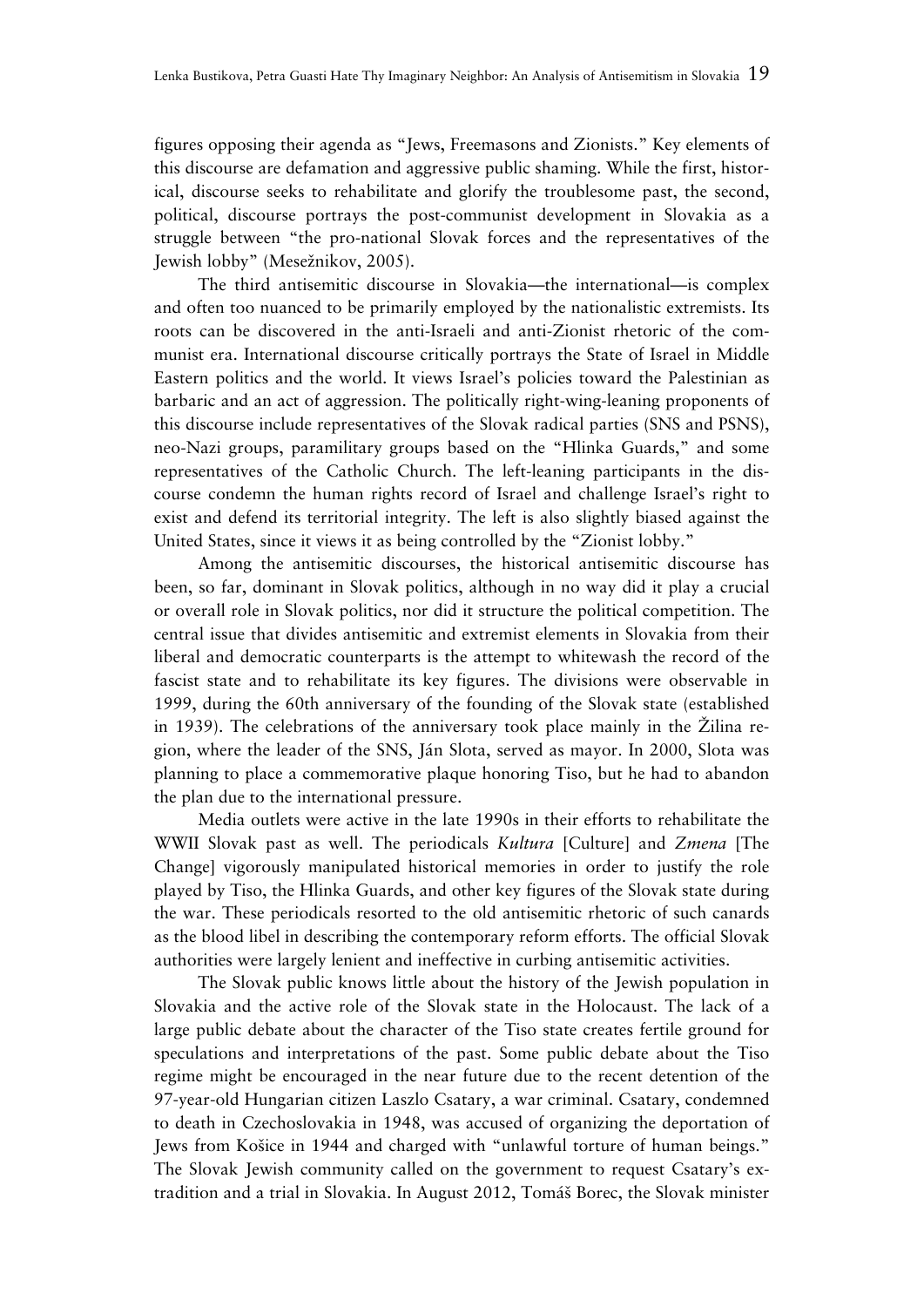figures opposing their agenda as "Jews, Freemasons and Zionists." Key elements of this discourse are defamation and aggressive public shaming. While the first, historical, discourse seeks to rehabilitate and glorify the troublesome past, the second, political, discourse portrays the post-communist development in Slovakia as a struggle between "the pro-national Slovak forces and the representatives of the Jewish lobby" (Mesežnikov, 2005).

The third antisemitic discourse in Slovakia—the international—is complex and often too nuanced to be primarily employed by the nationalistic extremists. Its roots can be discovered in the anti-Israeli and anti-Zionist rhetoric of the communist era. International discourse critically portrays the State of Israel in Middle Eastern politics and the world. It views Israel's policies toward the Palestinian as barbaric and an act of aggression. The politically right-wing-leaning proponents of this discourse include representatives of the Slovak radical parties (SNS and PSNS), neo-Nazi groups, paramilitary groups based on the "Hlinka Guards," and some representatives of the Catholic Church. The left-leaning participants in the discourse condemn the human rights record of Israel and challenge Israel's right to exist and defend its territorial integrity. The left is also slightly biased against the United States, since it views it as being controlled by the "Zionist lobby."

Among the antisemitic discourses, the historical antisemitic discourse has been, so far, dominant in Slovak politics, although in no way did it play a crucial or overall role in Slovak politics, nor did it structure the political competition. The central issue that divides antisemitic and extremist elements in Slovakia from their liberal and democratic counterparts is the attempt to whitewash the record of the fascist state and to rehabilitate its key figures. The divisions were observable in 1999, during the 60th anniversary of the founding of the Slovak state (established in 1939). The celebrations of the anniversary took place mainly in the Žilina region, where the leader of the SNS, Ján Slota, served as mayor. In 2000, Slota was planning to place a commemorative plaque honoring Tiso, but he had to abandon the plan due to the international pressure.

Media outlets were active in the late 1990s in their efforts to rehabilitate the WWII Slovak past as well. The periodicals *Kultura* [Culture] and *Zmena* [The Change] vigorously manipulated historical memories in order to justify the role played by Tiso, the Hlinka Guards, and other key figures of the Slovak state during the war. These periodicals resorted to the old antisemitic rhetoric of such canards as the blood libel in describing the contemporary reform efforts. The official Slovak authorities were largely lenient and ineffective in curbing antisemitic activities.

The Slovak public knows little about the history of the Jewish population in Slovakia and the active role of the Slovak state in the Holocaust. The lack of a large public debate about the character of the Tiso state creates fertile ground for speculations and interpretations of the past. Some public debate about the Tiso regime might be encouraged in the near future due to the recent detention of the 97-year-old Hungarian citizen Laszlo Csatary, a war criminal. Csatary, condemned to death in Czechoslovakia in 1948, was accused of organizing the deportation of Jews from Košice in 1944 and charged with "unlawful torture of human beings." The Slovak Jewish community called on the government to request Csatary's extradition and a trial in Slovakia. In August 2012, Tomáš Borec, the Slovak minister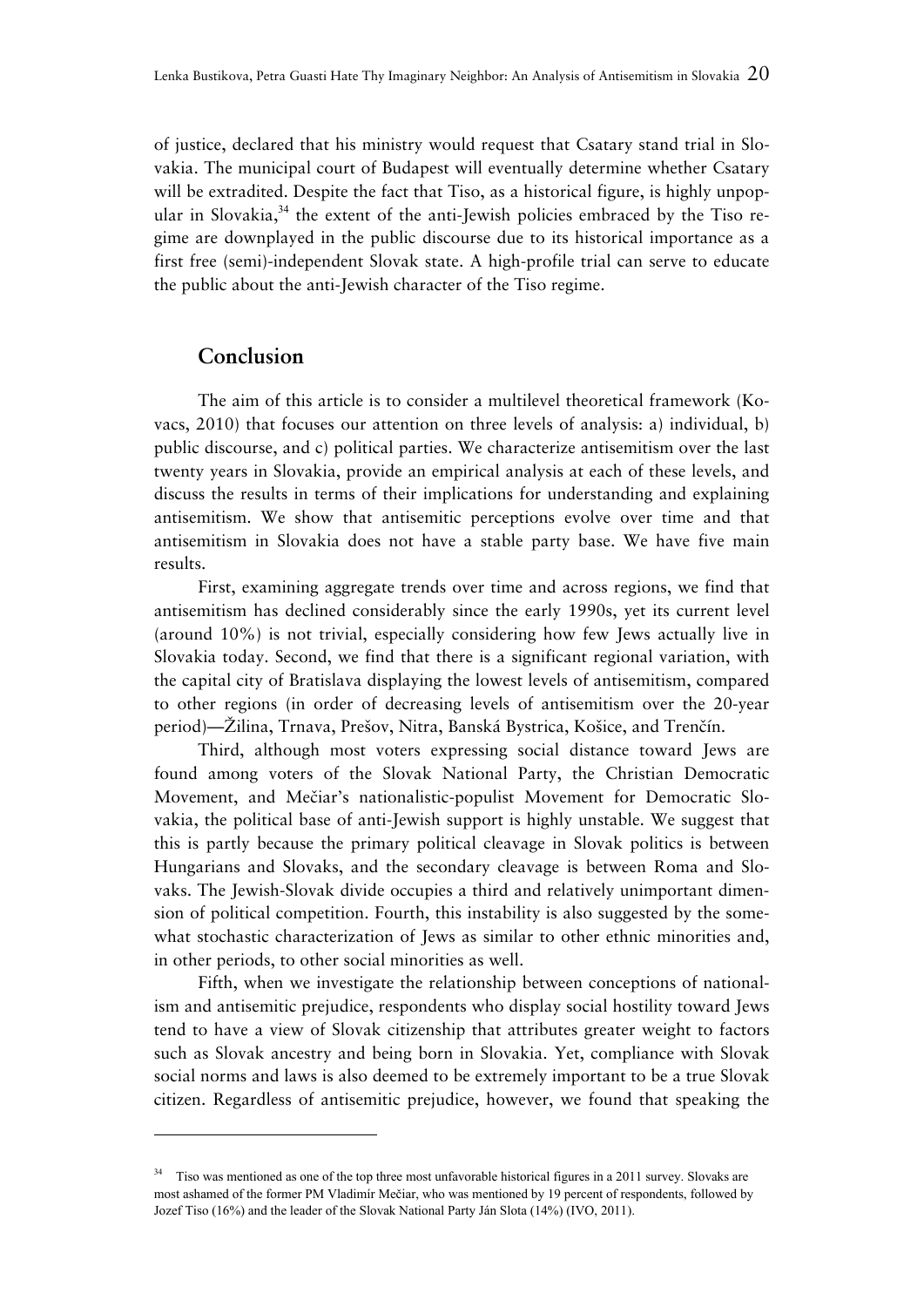of justice, declared that his ministry would request that Csatary stand trial in Slovakia. The municipal court of Budapest will eventually determine whether Csatary will be extradited. Despite the fact that Tiso, as a historical figure, is highly unpopular in Slovakia,<sup>34</sup> the extent of the anti-Jewish policies embraced by the Tiso regime are downplayed in the public discourse due to its historical importance as a first free (semi)-independent Slovak state. A high-profile trial can serve to educate the public about the anti-Jewish character of the Tiso regime.

## **Conclusion**

The aim of this article is to consider a multilevel theoretical framework (Kovacs, 2010) that focuses our attention on three levels of analysis: a) individual, b) public discourse, and c) political parties. We characterize antisemitism over the last twenty years in Slovakia, provide an empirical analysis at each of these levels, and discuss the results in terms of their implications for understanding and explaining antisemitism. We show that antisemitic perceptions evolve over time and that antisemitism in Slovakia does not have a stable party base. We have five main results.

First, examining aggregate trends over time and across regions, we find that antisemitism has declined considerably since the early 1990s, yet its current level (around 10%) is not trivial, especially considering how few Jews actually live in Slovakia today. Second, we find that there is a significant regional variation, with the capital city of Bratislava displaying the lowest levels of antisemitism, compared to other regions (in order of decreasing levels of antisemitism over the 20-year period)—Žilina, Trnava, Prešov, Nitra, Banská Bystrica, Košice, and Trenčín.

Third, although most voters expressing social distance toward Jews are found among voters of the Slovak National Party, the Christian Democratic Movement, and Mečiar's nationalistic-populist Movement for Democratic Slovakia, the political base of anti-Jewish support is highly unstable. We suggest that this is partly because the primary political cleavage in Slovak politics is between Hungarians and Slovaks, and the secondary cleavage is between Roma and Slovaks. The Jewish-Slovak divide occupies a third and relatively unimportant dimension of political competition. Fourth, this instability is also suggested by the somewhat stochastic characterization of Jews as similar to other ethnic minorities and, in other periods, to other social minorities as well.

Fifth, when we investigate the relationship between conceptions of nationalism and antisemitic prejudice, respondents who display social hostility toward Jews tend to have a view of Slovak citizenship that attributes greater weight to factors such as Slovak ancestry and being born in Slovakia. Yet, compliance with Slovak social norms and laws is also deemed to be extremely important to be a true Slovak citizen. Regardless of antisemitic prejudice, however, we found that speaking the

<sup>&</sup>lt;sup>34</sup> Tiso was mentioned as one of the top three most unfavorable historical figures in a 2011 survey. Slovaks are most ashamed of the former PM Vladimír Mečiar, who was mentioned by 19 percent of respondents, followed by Jozef Tiso (16%) and the leader of the Slovak National Party Ján Slota (14%) (IVO, 2011).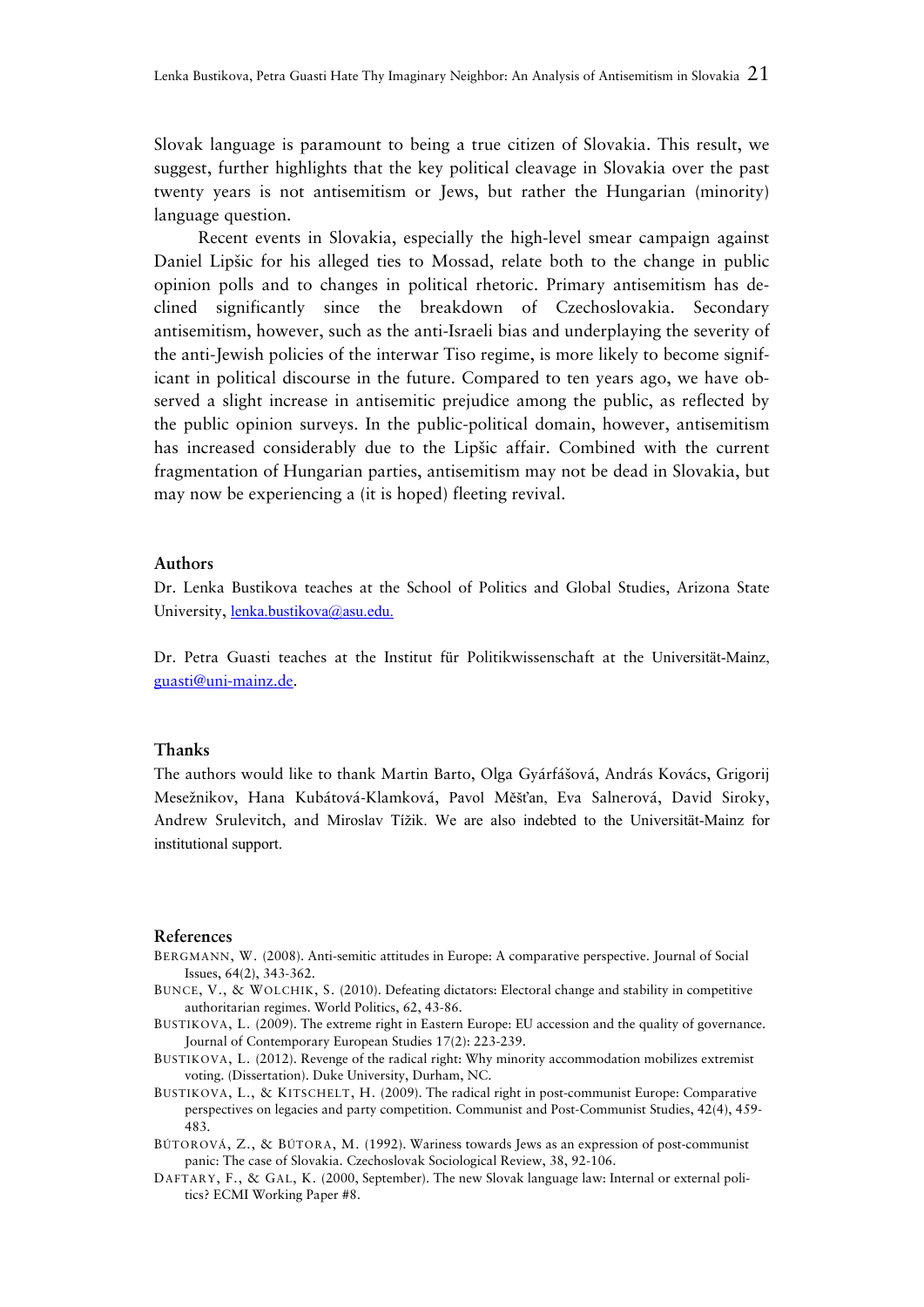Slovak language is paramount to being a true citizen of Slovakia. This result, we suggest, further highlights that the key political cleavage in Slovakia over the past twenty years is not antisemitism or Jews, but rather the Hungarian (minority) language question.

Recent events in Slovakia, especially the high-level smear campaign against Daniel Lipšic for his alleged ties to Mossad, relate both to the change in public opinion polls and to changes in political rhetoric. Primary antisemitism has declined significantly since the breakdown of Czechoslovakia. Secondary antisemitism, however, such as the anti-Israeli bias and underplaying the severity of the anti-Jewish policies of the interwar Tiso regime, is more likely to become significant in political discourse in the future. Compared to ten years ago, we have observed a slight increase in antisemitic prejudice among the public, as reflected by the public opinion surveys. In the public-political domain, however, antisemitism has increased considerably due to the Lipšic affair. Combined with the current fragmentation of Hungarian parties, antisemitism may not be dead in Slovakia, but may now be experiencing a (it is hoped) fleeting revival.

#### **Authors**

Dr. Lenka Bustikova teaches at the School of Politics and Global Studies, Arizona State University, lenka.bustikova@asu.edu.

Dr. Petra Guasti teaches at the Institut für Politikwissenschaft at the Universität-Mainz, guasti@uni-mainz.de.

#### **Thanks**

The authors would like to thank Martin Barto, Olga Gyárfášová, András Kovács, Grigorij Mesežnikov, Hana Kubátová-Klamková, Pavol Měšťan, Eva Salnerová, David Siroky, Andrew Srulevitch, and Miroslav Tížik. We are also indebted to the Universität-Mainz for institutional support.

#### **References**

- BERGMANN, W. (2008). Anti-semitic attitudes in Europe: A comparative perspective. Journal of Social Issues, 64(2), 343-362.
- BUNCE, V., & WOLCHIK, S. (2010). Defeating dictators: Electoral change and stability in competitive authoritarian regimes. World Politics, 62, 43-86.
- BUSTIKOVA, L. (2009). The extreme right in Eastern Europe: EU accession and the quality of governance. Journal of Contemporary European Studies 17(2): 223-239.
- BUSTIKOVA, L. (2012). Revenge of the radical right: Why minority accommodation mobilizes extremist voting. (Dissertation). Duke University, Durham, NC.
- BUSTIKOVA, L., & KITSCHELT, H. (2009). The radical right in post-communist Europe: Comparative perspectives on legacies and party competition. Communist and Post-Communist Studies, 42(4), 459- 483.
- BÚTOROVÁ, Z., & BÚTORA, M. (1992). Wariness towards Jews as an expression of post-communist panic: The case of Slovakia. Czechoslovak Sociological Review, 38, 92-106.
- DAFTARY, F., & GAL, K. (2000, September). The new Slovak language law: Internal or external politics? ECMI Working Paper #8.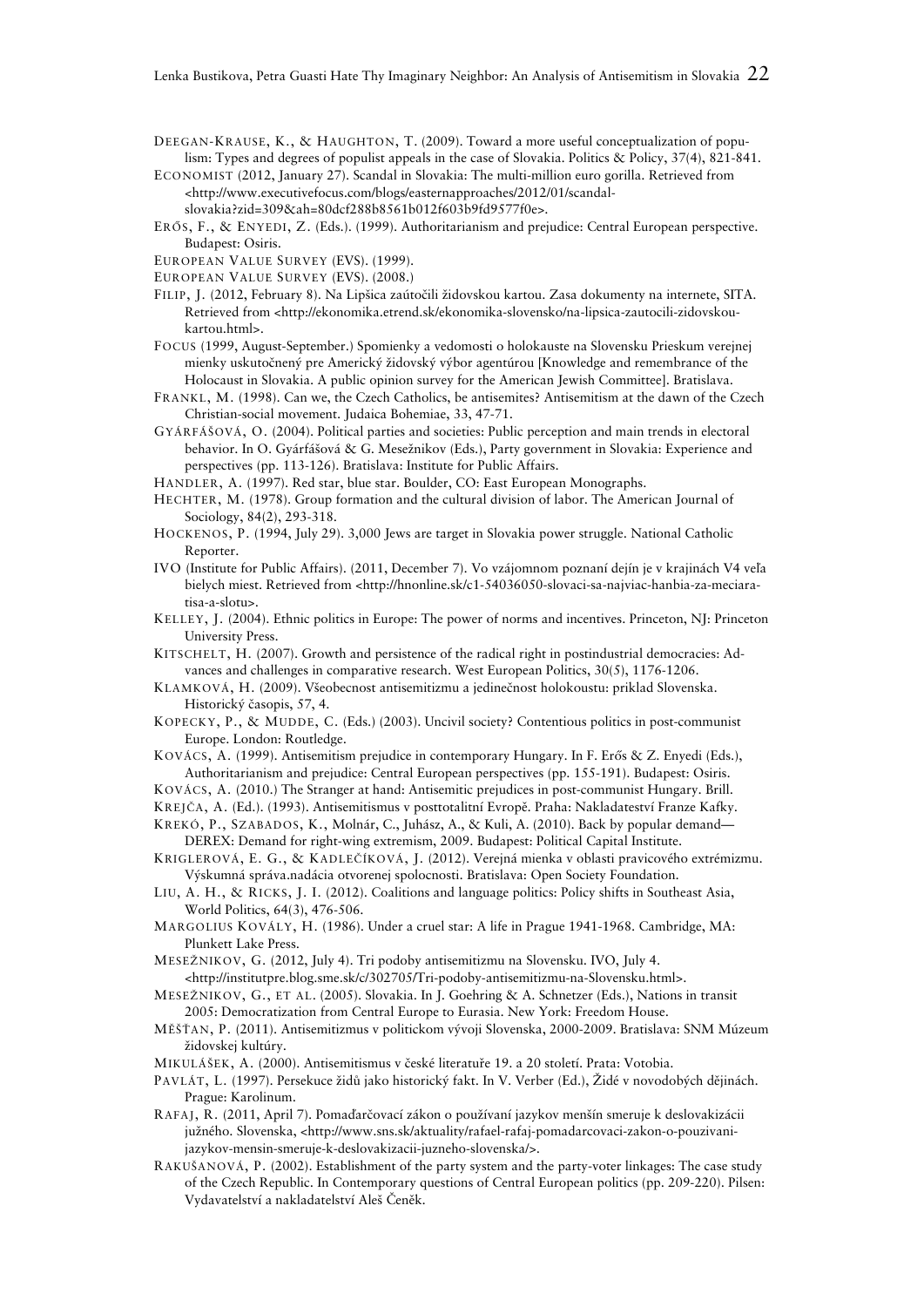DEEGAN-KRAUSE, K., & HAUGHTON, T. (2009). Toward a more useful conceptualization of populism: Types and degrees of populist appeals in the case of Slovakia. Politics & Policy, 37(4), 821-841.

- ECONOMIST (2012, January 27). Scandal in Slovakia: The multi-million euro gorilla. Retrieved from <http://www.executivefocus.com/blogs/easternapproaches/2012/01/scandalslovakia?zid=309&ah=80dcf288b8561b012f603b9fd9577f0e>.
- ERŐS, F., & ENYEDI, Z. (Eds.). (1999). Authoritarianism and prejudice: Central European perspective. Budapest: Osiris.
- EUROPEAN VALUE SURVEY (EVS). (1999).
- EUROPEAN VALUE SURVEY (EVS). (2008.)
- FILIP, J. (2012, February 8). Na Lipšica zaútočili židovskou kartou. Zasa dokumenty na internete, SITA. Retrieved from <http://ekonomika.etrend.sk/ekonomika-slovensko/na-lipsica-zautocili-zidovskoukartou.html>.
- FOCUS (1999, August-September.) Spomienky a vedomosti o holokauste na Slovensku Prieskum verejnej mienky uskutočnený pre Americký židovský výbor agentúrou [Knowledge and remembrance of the Holocaust in Slovakia. A public opinion survey for the American Jewish Committee]. Bratislava.
- FRANKL, M. (1998). Can we, the Czech Catholics, be antisemites? Antisemitism at the dawn of the Czech Christian-social movement. Judaica Bohemiae, 33, 47-71.
- GYÁRFÁŠOVÁ, O. (2004). Political parties and societies: Public perception and main trends in electoral behavior. In O. Gyárfášová & G. Mesežnikov (Eds.), Party government in Slovakia: Experience and perspectives (pp. 113-126). Bratislava: Institute for Public Affairs.
- HANDLER, A. (1997). Red star, blue star. Boulder, CO: East European Monographs.
- HECHTER, M. (1978). Group formation and the cultural division of labor. The American Journal of Sociology, 84(2), 293-318.
- HOCKENOS, P. (1994, July 29). 3,000 Jews are target in Slovakia power struggle. National Catholic Reporter.
- IVO (Institute for Public Affairs). (2011, December 7). Vo vzájomnom poznaní dejín je v krajinách V4 veľa bielych miest. Retrieved from <http://hnonline.sk/c1-54036050-slovaci-sa-najviac-hanbia-za-meciaratisa-a-slotu>.
- KELLEY, J. (2004). Ethnic politics in Europe: The power of norms and incentives. Princeton, NJ: Princeton University Press.
- KITSCHELT, H. (2007). Growth and persistence of the radical right in postindustrial democracies: Advances and challenges in comparative research. West European Politics, 30(5), 1176-1206.
- KLAMKOVÁ, H. (2009). Všeobecnost antisemitizmu a jedinečnost holokoustu: priklad Slovenska. Historický časopis, 57, 4.
- KOPECKY, P., & MUDDE, C. (Eds.) (2003). Uncivil society? Contentious politics in post-communist Europe. London: Routledge.
- KOVÁCS, A. (1999). Antisemitism prejudice in contemporary Hungary. In F. Erős & Z. Enyedi (Eds.), Authoritarianism and prejudice: Central European perspectives (pp. 155-191). Budapest: Osiris.
- KOVÁCS, A. (2010.) The Stranger at hand: Antisemitic prejudices in post-communist Hungary. Brill.
- KREJČA, A. (Ed.). (1993). Antisemitismus v posttotalitní Evropě. Praha: Nakladateství Franze Kafky. KREKÓ, P., SZABADOS, K., Molnár, C., Juhász, A., & Kuli, A. (2010). Back by popular demand—
- DEREX: Demand for right-wing extremism, 2009. Budapest: Political Capital Institute.
- KRIGLEROVÁ, E. G., & KADLEČÍKOVÁ, J. (2012). Verejná mienka v oblasti pravicového extrémizmu. Výskumná správa.nadácia otvorenej spolocnosti. Bratislava: Open Society Foundation.
- LIU, A. H., & RICKS, J. I. (2012). Coalitions and language politics: Policy shifts in Southeast Asia, World Politics, 64(3), 476-506.
- MARGOLIUS KOVÁLY, H. (1986). Under a cruel star: A life in Prague 1941-1968. Cambridge, MA: Plunkett Lake Press.
- MESEŽNIKOV, G. (2012, July 4). Tri podoby antisemitizmu na Slovensku. IVO, July 4. <http://institutpre.blog.sme.sk/c/302705/Tri-podoby-antisemitizmu-na-Slovensku.html>.
- MESEŽNIKOV, G., ET AL. (2005). Slovakia. In J. Goehring & A. Schnetzer (Eds.), Nations in transit 2005: Democratization from Central Europe to Eurasia. New York: Freedom House.
- MĚŠŤAN, P. (2011). Antisemitizmus v politickom vývoji Slovenska, 2000-2009. Bratislava: SNM Múzeum židovskej kultúry.
- MIKULÁŠEK, A. (2000). Antisemitismus v české literatuře 19. a 20 století. Prata: Votobia.
- PAVLÁT, L. (1997). Persekuce židů jako historický fakt. In V. Verber (Ed.), Židé v novodobých dějinách. Prague: Karolinum.
- RAFAJ, R. (2011, April 7). Pomaďarčovací zákon o používaní jazykov menšín smeruje k deslovakizácii južného. Slovenska, <http://www.sns.sk/aktuality/rafael-rafaj-pomadarcovaci-zakon-o-pouzivanijazykov-mensin-smeruje-k-deslovakizacii-juzneho-slovenska/>.
- RAKUŠANOVÁ, P. (2002). Establishment of the party system and the party-voter linkages: The case study of the Czech Republic. In Contemporary questions of Central European politics (pp. 209-220). Pilsen: Vydavatelství a nakladatelství Aleš Čeněk.